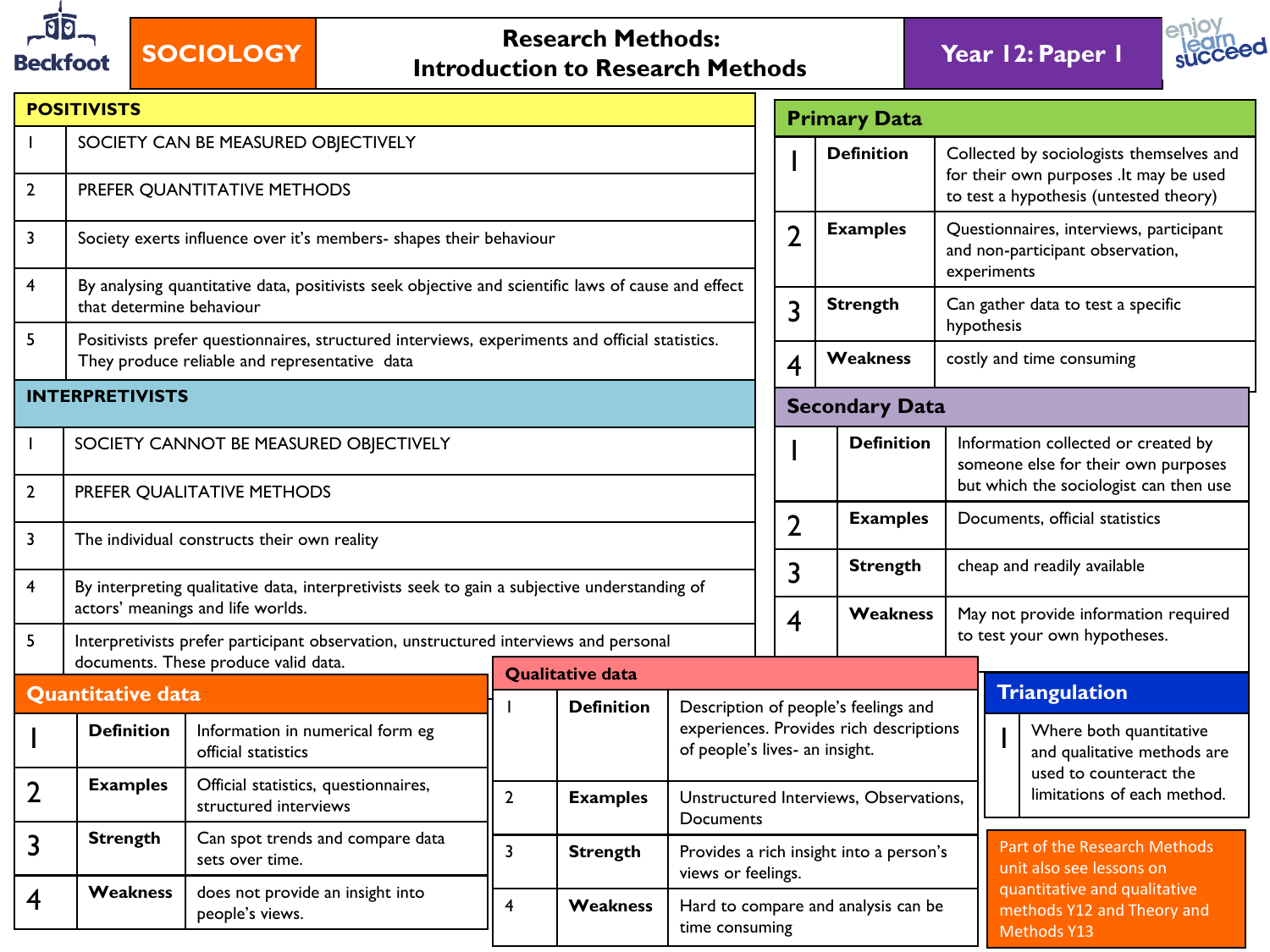

## **SOCIOLOGY Research Methods: Research Methods: Introduction to Research Methods Year 12: Paper 1**



|                         | <b>POSITIVISTS</b>                                                                                                                 |                                                                                                                                                 |                         |                   |                                                                                                                   |                                                                                                                              | <b>Primary Data</b>                                                                             |                                                                                                                  |                                                                                |  |
|-------------------------|------------------------------------------------------------------------------------------------------------------------------------|-------------------------------------------------------------------------------------------------------------------------------------------------|-------------------------|-------------------|-------------------------------------------------------------------------------------------------------------------|------------------------------------------------------------------------------------------------------------------------------|-------------------------------------------------------------------------------------------------|------------------------------------------------------------------------------------------------------------------|--------------------------------------------------------------------------------|--|
| $\overline{2}$          |                                                                                                                                    | SOCIETY CAN BE MEASURED OBJECTIVELY<br>PREFER QUANTITATIVE METHODS                                                                              |                         | <b>Definition</b> |                                                                                                                   | Collected by sociologists themselves and<br>for their own purposes .lt may be used<br>to test a hypothesis (untested theory) |                                                                                                 |                                                                                                                  |                                                                                |  |
| 3                       | Society exerts influence over it's members- shapes their behaviour                                                                 | $\overline{2}$                                                                                                                                  | <b>Examples</b>         |                   | Questionnaires, interviews, participant<br>and non-participant observation,<br>experiments                        |                                                                                                                              |                                                                                                 |                                                                                                                  |                                                                                |  |
| 4                       | that determine behaviour                                                                                                           | By analysing quantitative data, positivists seek objective and scientific laws of cause and effect                                              |                         |                   |                                                                                                                   | 3                                                                                                                            | <b>Strength</b><br>Can gather data to test a specific<br>hypothesis                             |                                                                                                                  |                                                                                |  |
| 5                       |                                                                                                                                    | Positivists prefer questionnaires, structured interviews, experiments and official statistics.<br>They produce reliable and representative data |                         |                   |                                                                                                                   | $\overline{\mathbf{4}}$                                                                                                      | <b>Weakness</b>                                                                                 |                                                                                                                  | costly and time consuming                                                      |  |
|                         | <b>INTERPRETIVISTS</b>                                                                                                             |                                                                                                                                                 |                         |                   |                                                                                                                   |                                                                                                                              | <b>Secondary Data</b>                                                                           |                                                                                                                  |                                                                                |  |
|                         |                                                                                                                                    | SOCIETY CANNOT BE MEASURED OBJECTIVELY                                                                                                          |                         |                   |                                                                                                                   | <b>Definition</b>                                                                                                            |                                                                                                 | Information collected or created by<br>someone else for their own purposes                                       |                                                                                |  |
| $\overline{2}$          |                                                                                                                                    | PREFER QUALITATIVE METHODS                                                                                                                      |                         |                   |                                                                                                                   |                                                                                                                              |                                                                                                 |                                                                                                                  | but which the sociologist can then use                                         |  |
| 3                       |                                                                                                                                    | The individual constructs their own reality                                                                                                     |                         |                   |                                                                                                                   | $\overline{2}$                                                                                                               | <b>Examples</b>                                                                                 | Documents, official statistics                                                                                   |                                                                                |  |
| 4                       |                                                                                                                                    | By interpreting qualitative data, interpretivists seek to gain a subjective understanding of<br>actors' meanings and life worlds.               |                         |                   |                                                                                                                   | 3                                                                                                                            | <b>Strength</b><br>Weakness                                                                     |                                                                                                                  | cheap and readily available<br>May not provide information required            |  |
| 5                       |                                                                                                                                    | Interpretivists prefer participant observation, unstructured interviews and personal                                                            |                         |                   |                                                                                                                   | $\overline{\mathbf{4}}$                                                                                                      |                                                                                                 |                                                                                                                  | to test your own hypotheses.                                                   |  |
|                         |                                                                                                                                    | documents. These produce valid data.                                                                                                            | <b>Qualitative data</b> |                   |                                                                                                                   |                                                                                                                              |                                                                                                 |                                                                                                                  |                                                                                |  |
|                         | <b>Quantitative data</b><br><b>Definition</b>                                                                                      | Information in numerical form eg<br>official statistics                                                                                         |                         | <b>Definition</b> | Description of people's feelings and<br>experiences. Provides rich descriptions<br>of people's lives- an insight. |                                                                                                                              |                                                                                                 |                                                                                                                  | <b>Triangulation</b><br>Where both quantitative<br>and qualitative methods are |  |
| $\overline{2}$          | Official statistics, questionnaires,<br><b>Examples</b><br>$\overline{2}$<br><b>Examples</b><br>structured interviews<br>Documents |                                                                                                                                                 |                         |                   |                                                                                                                   |                                                                                                                              | used to counteract the<br>limitations of each method.<br>Unstructured Interviews, Observations, |                                                                                                                  |                                                                                |  |
| 3                       | <b>Strength</b>                                                                                                                    | Can spot trends and compare data<br>sets over time.                                                                                             | $\overline{3}$          | <b>Strength</b>   |                                                                                                                   |                                                                                                                              | Provides a rich insight into a person's                                                         |                                                                                                                  | Part of the Research Methods<br>unit also see lessons on                       |  |
| $\overline{\mathbf{4}}$ | <b>Weakness</b>                                                                                                                    | does not provide an insight into<br>people's views.                                                                                             | 4                       | Weakness          | views or feelings.<br>time consuming                                                                              |                                                                                                                              |                                                                                                 | quantitative and qualitative<br>Hard to compare and analysis can be<br>methods Y12 and Theory and<br>Methods Y13 |                                                                                |  |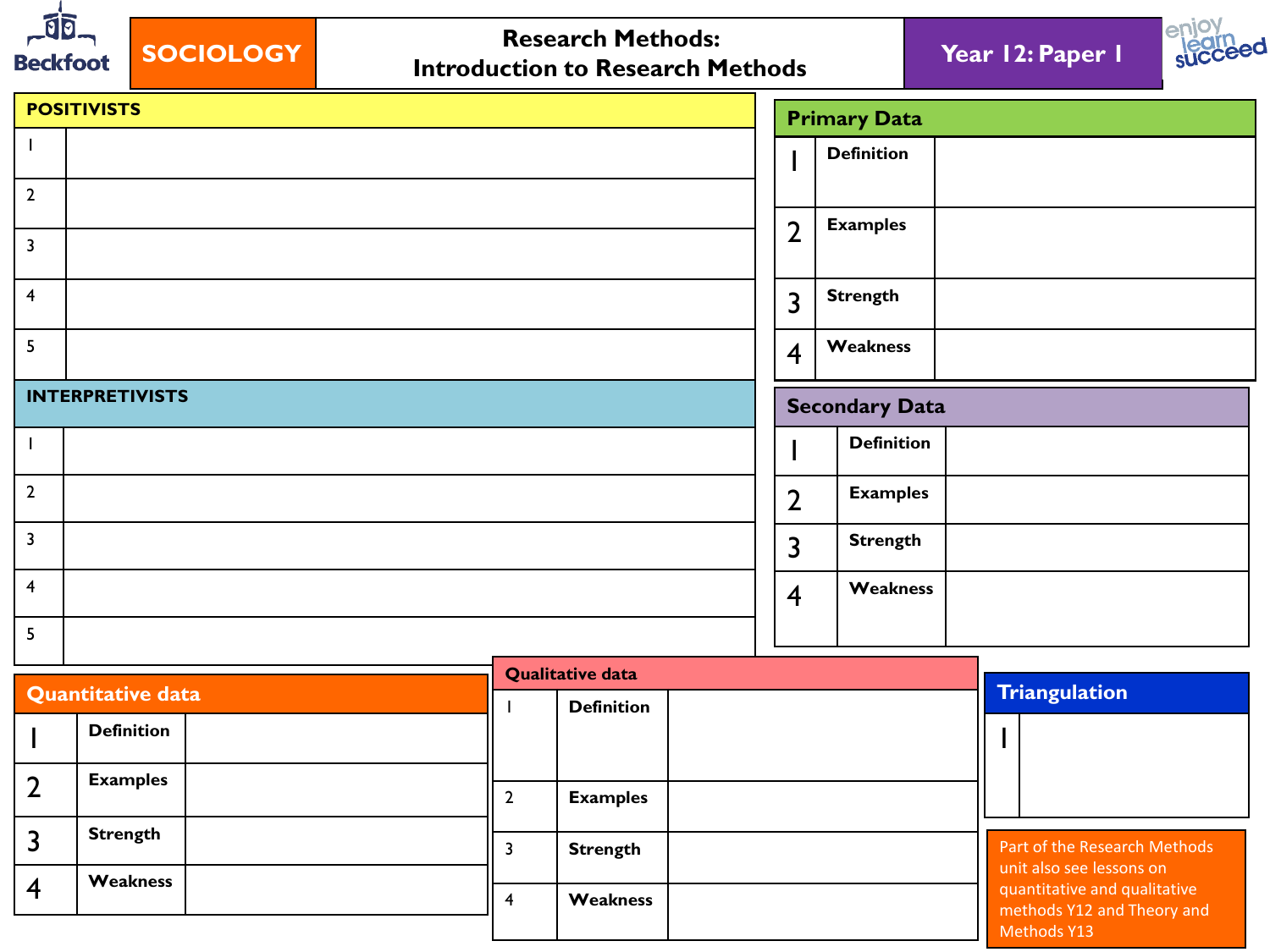

## **SOCIOLOGY Research Methods: Introduction to Research Methods Year 12: Paper 1**





|                         | <b>POSITIVISTS</b>     | <b>Primary Data</b>   |                   |  |  |
|-------------------------|------------------------|-----------------------|-------------------|--|--|
|                         |                        |                       | <b>Definition</b> |  |  |
| $\overline{2}$          |                        |                       |                   |  |  |
| $\overline{3}$          |                        | $\overline{2}$        | <b>Examples</b>   |  |  |
| $\overline{4}$          |                        | $\overline{3}$        | <b>Strength</b>   |  |  |
| 5                       |                        | $\overline{4}$        | Weakness          |  |  |
|                         | <b>INTERPRETIVISTS</b> | <b>Secondary Data</b> |                   |  |  |
|                         |                        |                       | <b>Definition</b> |  |  |
| $\mathbf 2$             |                        | $\overline{2}$        | <b>Examples</b>   |  |  |
| 3                       |                        | $\overline{3}$        | <b>Strength</b>   |  |  |
| $\overline{\mathbf{4}}$ |                        | $\overline{4}$        | Weakness          |  |  |
| 5                       |                        |                       |                   |  |  |

|                          |                   |  | <b>Qualitative data</b> |                                                            |
|--------------------------|-------------------|--|-------------------------|------------------------------------------------------------|
| <b>Quantitative data</b> |                   |  | <b>Definition</b>       | <b>Triangulation</b>                                       |
|                          | <b>Definition</b> |  |                         |                                                            |
|                          | <b>Examples</b>   |  |                         |                                                            |
|                          |                   |  | <b>Examples</b>         |                                                            |
|                          | <b>Strength</b>   |  |                         |                                                            |
|                          |                   |  | <b>Strength</b>         | Part of the Research Methods                               |
|                          | Weakness          |  |                         | unit also see lessons on                                   |
|                          |                   |  | Weakness                | quantitative and qualitative<br>methods Y12 and Theory and |
|                          |                   |  |                         | Methods Y13                                                |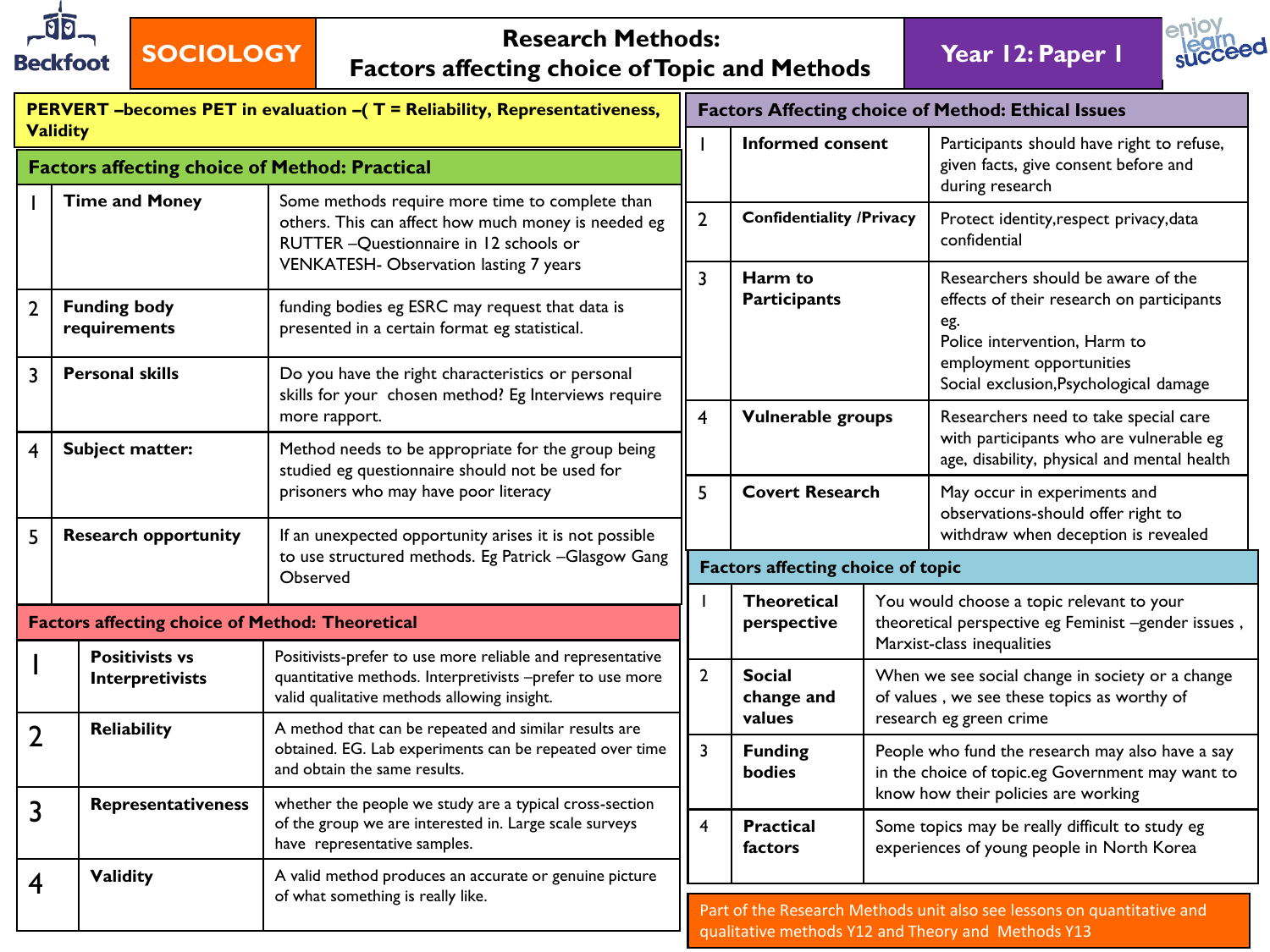

## **SOCIOLOGY Research Methods: Factors affecting choice of Topic and Methods Year 12: Paper 1**



|                         | <b>Validity</b>                                        |                                                                                                                                                                                             |                | <b>Informed</b>                      |  |
|-------------------------|--------------------------------------------------------|---------------------------------------------------------------------------------------------------------------------------------------------------------------------------------------------|----------------|--------------------------------------|--|
|                         | <b>Factors affecting choice of Method: Practical</b>   |                                                                                                                                                                                             |                |                                      |  |
|                         | <b>Time and Money</b>                                  | Some methods require more time to complete than<br>others. This can affect how much money is needed eg<br>RUTTER - Questionnaire in 12 schools or<br>VENKATESH- Observation lasting 7 years |                | Confidentia                          |  |
| $\overline{2}$          | <b>Funding body</b><br>requirements                    | funding bodies eg ESRC may request that data is<br>presented in a certain format eg statistical.                                                                                            |                | Harm to<br>Participan                |  |
| $\overline{3}$          | <b>Personal skills</b>                                 | Do you have the right characteristics or personal<br>skills for your chosen method? Eg Interviews require<br>more rapport.                                                                  |                |                                      |  |
| $\overline{\mathbf{4}}$ | Subject matter:                                        | Method needs to be appropriate for the group being<br>studied eg questionnaire should not be used for                                                                                       |                |                                      |  |
|                         |                                                        | prisoners who may have poor literacy                                                                                                                                                        |                | <b>Covert Re</b>                     |  |
| 5                       | <b>Research opportunity</b>                            | If an unexpected opportunity arises it is not possible<br>to use structured methods. Eg Patrick -Glasgow Gang                                                                               |                |                                      |  |
|                         |                                                        | Observed                                                                                                                                                                                    |                | <b>Factors affectin</b>              |  |
|                         | <b>Factors affecting choice of Method: Theoretical</b> |                                                                                                                                                                                             |                | <b>Theoretic</b><br>perspectiv       |  |
|                         | <b>Positivists vs</b><br>Interpretivists               | Positivists-prefer to use more reliable and representative<br>quantitative methods. Interpretivists -prefer to use more<br>valid qualitative methods allowing insight.                      | $\overline{2}$ | <b>Social</b><br>change an<br>values |  |
| $\overline{2}$          | Reliability                                            | A method that can be repeated and similar results are<br>obtained. EG. Lab experiments can be repeated over time<br>and obtain the same results.                                            |                |                                      |  |
| $\overline{3}$          | Representativeness                                     | whether the people we study are a typical cross-section<br>of the group we are interested in. Large scale surveys<br>have representative samples.                                           |                |                                      |  |
| $\overline{\mathbf{4}}$ | <b>Validity</b>                                        | A valid method produces an accurate or genuine picture<br>of what something is really like.                                                                                                 |                | factors                              |  |
|                         |                                                        |                                                                                                                                                                                             |                | Part of the Resear                   |  |

|                         |                                          |                                                                                                                                             | <b>Factors Affecting choice of Method: Ethical Issues</b>                                                                                                                                    |  |  |  |  |
|-------------------------|------------------------------------------|---------------------------------------------------------------------------------------------------------------------------------------------|----------------------------------------------------------------------------------------------------------------------------------------------------------------------------------------------|--|--|--|--|
| ı                       | <b>Informed consent</b>                  |                                                                                                                                             | Participants should have right to refuse,<br>given facts, give consent before and<br>during research                                                                                         |  |  |  |  |
| $\overline{2}$          | <b>Confidentiality /Privacy</b>          |                                                                                                                                             | Protect identity, respect privacy, data<br>confidential                                                                                                                                      |  |  |  |  |
| $\overline{\mathbf{3}}$ | Harm to<br><b>Participants</b>           |                                                                                                                                             | Researchers should be aware of the<br>effects of their research on participants<br>eg.<br>Police intervention, Harm to<br>employment opportunities<br>Social exclusion, Psychological damage |  |  |  |  |
| $\overline{4}$          | <b>Vulnerable groups</b>                 |                                                                                                                                             | Researchers need to take special care<br>with participants who are vulnerable eg<br>age, disability, physical and mental health                                                              |  |  |  |  |
| 5                       | <b>Covert Research</b>                   |                                                                                                                                             | May occur in experiments and<br>observations-should offer right to<br>withdraw when deception is revealed                                                                                    |  |  |  |  |
|                         | <b>Factors affecting choice of topic</b> |                                                                                                                                             |                                                                                                                                                                                              |  |  |  |  |
| L                       | <b>Theoretical</b><br>perspective        |                                                                                                                                             | You would choose a topic relevant to your<br>theoretical perspective eg Feminist -gender issues,<br>Marxist-class inequalities                                                               |  |  |  |  |
| $\overline{2}$          | <b>Social</b><br>change and<br>values    | When we see social change in society or a change<br>of values, we see these topics as worthy of<br>research eg green crime                  |                                                                                                                                                                                              |  |  |  |  |
| $\overline{3}$          | <b>Funding</b><br><b>bodies</b>          | People who fund the research may also have a say<br>in the choice of topic.eg Government may want to<br>know how their policies are working |                                                                                                                                                                                              |  |  |  |  |
| 4                       | <b>Practical</b><br>factors              | Some topics may be really difficult to study eg<br>experiences of young people in North Korea                                               |                                                                                                                                                                                              |  |  |  |  |
|                         |                                          | <b>Contract Contract</b>                                                                                                                    |                                                                                                                                                                                              |  |  |  |  |

rch Methods unit also see lessons on quantitative and ods Y12 and Theory and Methods Y13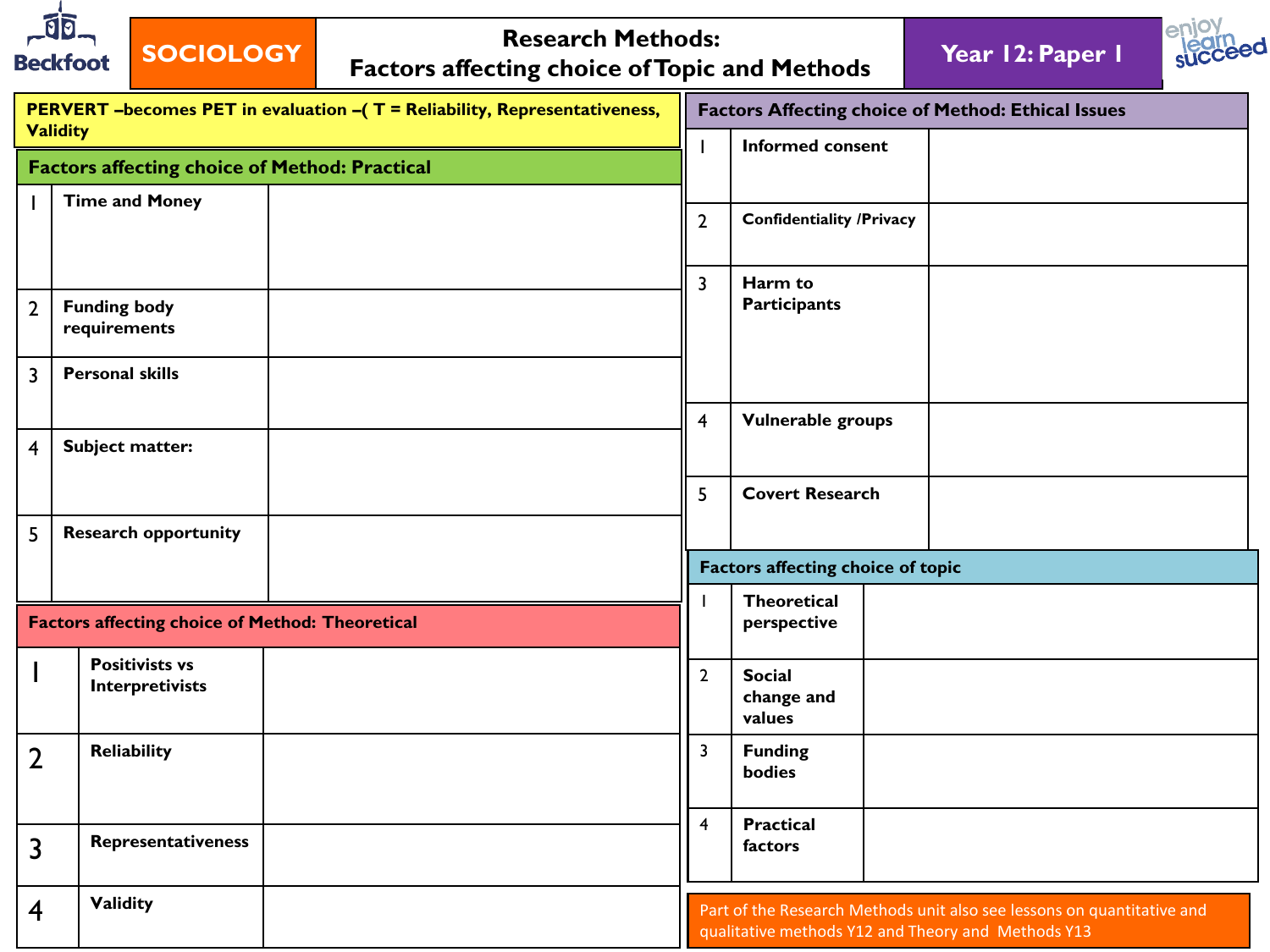| গ<br><b>Beckfoot</b> | <b>SOCIOLOGY</b>                                       | <b>Research Methods:</b><br><b>Factors affecting choice of Topic and Methods</b> |                |                                                           | Year 12: Paper 1                                                       |  |  |  |  |
|----------------------|--------------------------------------------------------|----------------------------------------------------------------------------------|----------------|-----------------------------------------------------------|------------------------------------------------------------------------|--|--|--|--|
|                      |                                                        | PERVERT - becomes PET in evaluation - (T = Reliability, Representativeness,      |                | <b>Factors Affecting choice of Method: Ethical Issues</b> |                                                                        |  |  |  |  |
| <b>Validity</b>      | <b>Factors affecting choice of Method: Practical</b>   |                                                                                  |                | <b>Informed consent</b>                                   |                                                                        |  |  |  |  |
|                      | <b>Time and Money</b>                                  |                                                                                  | $\overline{2}$ | <b>Confidentiality /Privacy</b>                           |                                                                        |  |  |  |  |
|                      |                                                        |                                                                                  |                |                                                           |                                                                        |  |  |  |  |
| $\overline{2}$       | <b>Funding body</b><br>requirements                    |                                                                                  | 3              | Harm to<br><b>Participants</b>                            |                                                                        |  |  |  |  |
| $\overline{3}$       | <b>Personal skills</b>                                 |                                                                                  |                |                                                           |                                                                        |  |  |  |  |
| 4                    | Subject matter:                                        |                                                                                  | 4              | Vulnerable groups                                         |                                                                        |  |  |  |  |
|                      |                                                        |                                                                                  | 5              | <b>Covert Research</b>                                    |                                                                        |  |  |  |  |
| 5                    | <b>Research opportunity</b>                            |                                                                                  |                |                                                           |                                                                        |  |  |  |  |
|                      |                                                        |                                                                                  |                | <b>Factors affecting choice of topic</b>                  |                                                                        |  |  |  |  |
|                      | <b>Factors affecting choice of Method: Theoretical</b> |                                                                                  | J.             | <b>Theoretical</b><br>perspective                         |                                                                        |  |  |  |  |
|                      | <b>Positivists vs</b><br>Interpretivists               |                                                                                  | $\overline{2}$ | <b>Social</b><br>change and<br>values                     |                                                                        |  |  |  |  |
| $\overline{2}$       | Reliability                                            |                                                                                  | 3              | <b>Funding</b><br>bodies                                  |                                                                        |  |  |  |  |
| 3                    | Representativeness                                     |                                                                                  | 4              | <b>Practical</b><br>factors                               |                                                                        |  |  |  |  |
| $\overline{4}$       | <b>Validity</b>                                        |                                                                                  |                |                                                           | Part of the Research Methods unit also see lessons on quantitative and |  |  |  |  |

qualitative methods Y12 and Theory and Methods Y13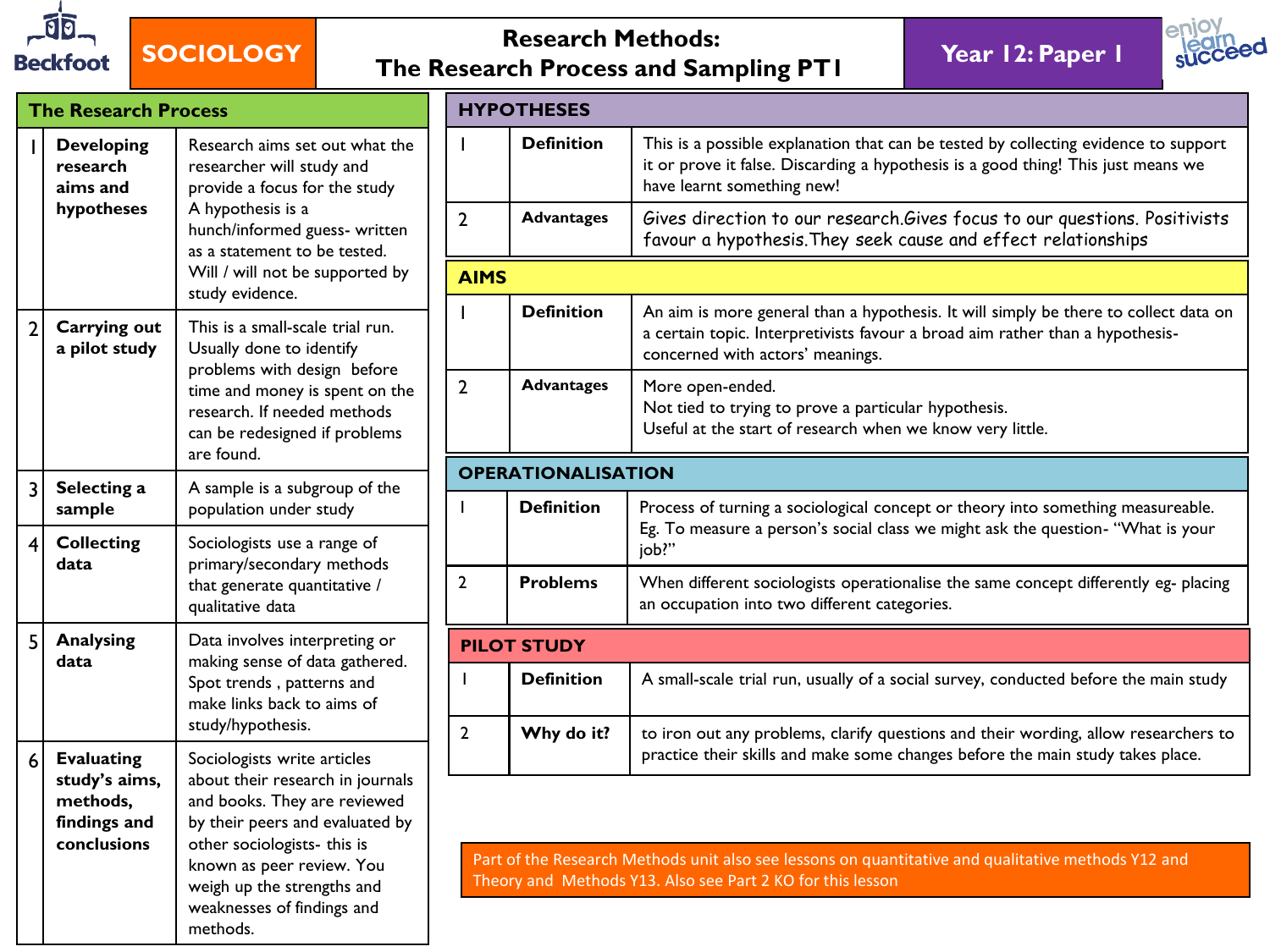

## **SOCIOLOGY Research Methods: The Research Process and Sampling PT1 Year 12: Paper 1**



|                | <b>The Research Process</b>                                                   |                                                                                                                                                                                                                                                                        |
|----------------|-------------------------------------------------------------------------------|------------------------------------------------------------------------------------------------------------------------------------------------------------------------------------------------------------------------------------------------------------------------|
| I              | <b>Developing</b><br>research<br>aims and<br>hypotheses                       | Research aims set out what the<br>researcher will study and<br>provide a focus for the study<br>A hypothesis is a<br>hunch/informed guess- written<br>as a statement to be tested.<br>Will / will not be supported by<br>study evidence.                               |
| $\overline{2}$ | <b>Carrying out</b><br>a pilot study                                          | This is a small-scale trial run.<br>Usually done to identify<br>problems with design before<br>time and money is spent on the<br>research. If needed methods<br>can be redesigned if problems<br>are found.                                                            |
| 3              | Selecting a<br>sample                                                         | A sample is a subgroup of the<br>population under study                                                                                                                                                                                                                |
| 4              | <b>Collecting</b><br>data                                                     | Sociologists use a range of<br>primary/secondary methods<br>that generate quantitative /<br>qualitative data                                                                                                                                                           |
| 5              | <b>Analysing</b><br>data                                                      | Data involves interpreting or<br>making sense of data gathered.<br>Spot trends, patterns and<br>make links back to aims of<br>study/hypothesis.                                                                                                                        |
| 6              | <b>Evaluating</b><br>study's aims,<br>methods,<br>findings and<br>conclusions | Sociologists write articles<br>about their research in journals<br>and books. They are reviewed<br>by their peers and evaluated by<br>other sociologists- this is<br>known as peer review. You<br>weigh up the strengths and<br>weaknesses of findings and<br>methods. |

|                | <b>HYPOTHESES</b>         |                                                                                                                                                                                                           |  |  |  |
|----------------|---------------------------|-----------------------------------------------------------------------------------------------------------------------------------------------------------------------------------------------------------|--|--|--|
| I              | <b>Definition</b>         | This is a possible explanation that can be tested by collecting evidence to support<br>it or prove it false. Discarding a hypothesis is a good thing! This just means we<br>have learnt something new!    |  |  |  |
| $\overline{2}$ | <b>Advantages</b>         | Gives direction to our research. Gives focus to our questions. Positivists<br>favour a hypothesis. They seek cause and effect relationships                                                               |  |  |  |
| <b>AIMS</b>    |                           |                                                                                                                                                                                                           |  |  |  |
|                | <b>Definition</b>         | An aim is more general than a hypothesis. It will simply be there to collect data on<br>a certain topic. Interpretivists favour a broad aim rather than a hypothesis-<br>concerned with actors' meanings. |  |  |  |
| $\mathbf{2}$   | <b>Advantages</b>         | More open-ended.<br>Not tied to trying to prove a particular hypothesis.<br>Useful at the start of research when we know very little.                                                                     |  |  |  |
|                | <b>OPERATIONALISATION</b> |                                                                                                                                                                                                           |  |  |  |
| L              | <b>Definition</b>         | Process of turning a sociological concept or theory into something measureable.                                                                                                                           |  |  |  |
|                |                           | Eg. To measure a person's social class we might ask the question- "What is your<br>job?"                                                                                                                  |  |  |  |
| $\overline{2}$ | <b>Problems</b>           | When different sociologists operationalise the same concept differently eg- placing<br>an occupation into two different categories.                                                                       |  |  |  |
|                | <b>PILOT STUDY</b>        |                                                                                                                                                                                                           |  |  |  |
| I              | <b>Definition</b>         | A small-scale trial run, usually of a social survey, conducted before the main study                                                                                                                      |  |  |  |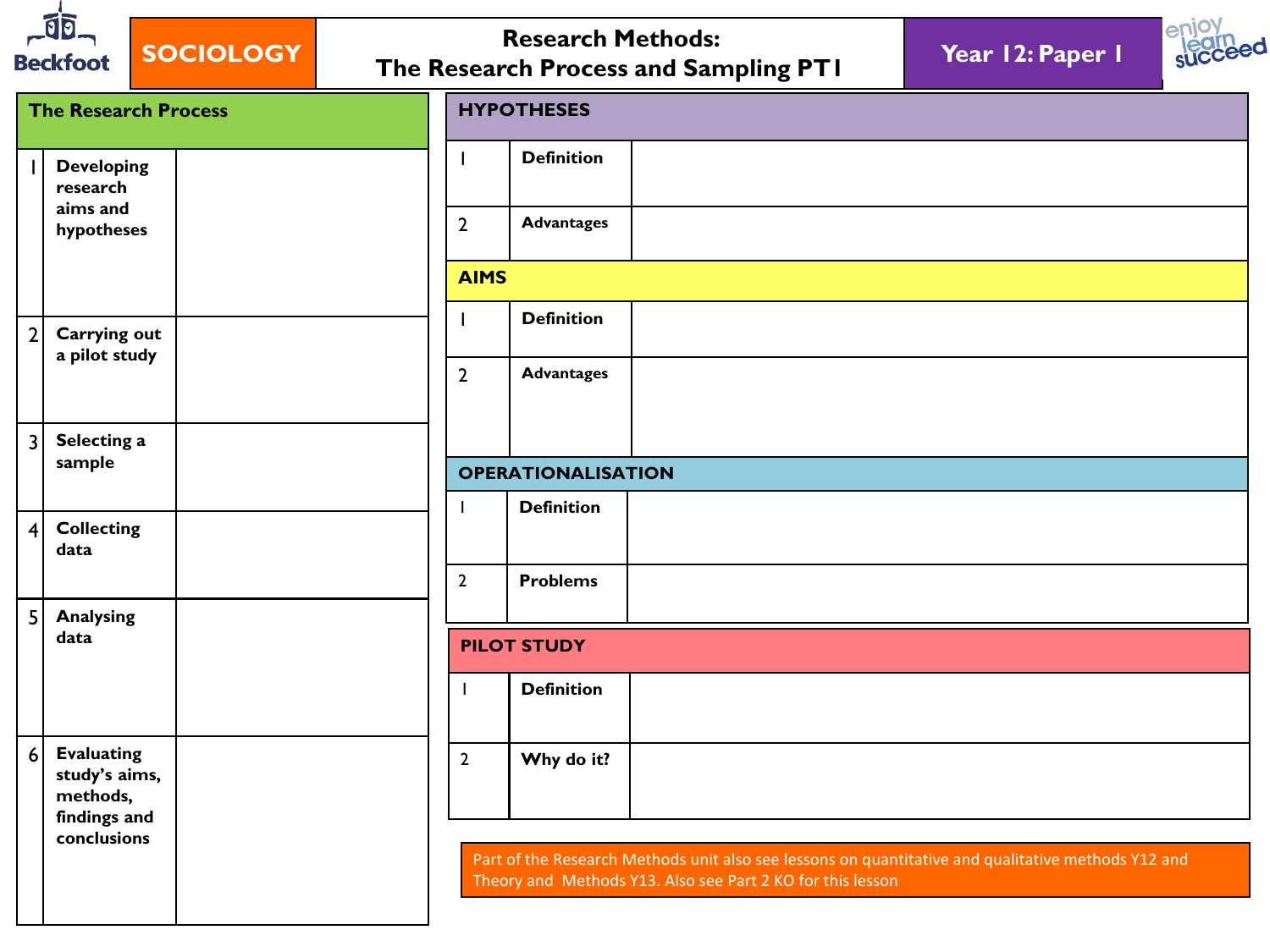| গিচ<br><b>SOCIOLOGY</b><br><b>Beckfoot</b>                          |                             |                          | <b>Research Methods:</b>  | The Research Process and Sampling PT1                                                                                                                            | Year 12: Paper 1 |  |
|---------------------------------------------------------------------|-----------------------------|--------------------------|---------------------------|------------------------------------------------------------------------------------------------------------------------------------------------------------------|------------------|--|
|                                                                     | <b>The Research Process</b> |                          | <b>HYPOTHESES</b>         |                                                                                                                                                                  |                  |  |
| <b>Developing</b><br>research                                       |                             | $\mathbf{I}$             | <b>Definition</b>         |                                                                                                                                                                  |                  |  |
| aims and<br>hypotheses                                              |                             | $\overline{2}$           | <b>Advantages</b>         |                                                                                                                                                                  |                  |  |
|                                                                     |                             | <b>AIMS</b>              |                           |                                                                                                                                                                  |                  |  |
| $\overline{2}$<br><b>Carrying out</b>                               |                             | $\mathbf{I}$             | <b>Definition</b>         |                                                                                                                                                                  |                  |  |
| a pilot study                                                       |                             | $\overline{2}$           | <b>Advantages</b>         |                                                                                                                                                                  |                  |  |
| $\overline{3}$                                                      | Selecting a                 |                          |                           |                                                                                                                                                                  |                  |  |
| sample                                                              |                             |                          | <b>OPERATIONALISATION</b> |                                                                                                                                                                  |                  |  |
| <b>Collecting</b><br>$\overline{4}$<br>data                         |                             | $\overline{\phantom{a}}$ | <b>Definition</b>         |                                                                                                                                                                  |                  |  |
|                                                                     |                             | $\overline{2}$           | <b>Problems</b>           |                                                                                                                                                                  |                  |  |
| 5 <sup>1</sup><br><b>Analysing</b><br>data                          |                             |                          | <b>PILOT STUDY</b>        |                                                                                                                                                                  |                  |  |
|                                                                     |                             |                          | <b>Definition</b>         |                                                                                                                                                                  |                  |  |
| 6<br><b>Evaluating</b><br>study's aims,<br>methods,<br>findings and |                             | $\overline{2}$           | Why do it?                |                                                                                                                                                                  |                  |  |
| conclusions                                                         |                             |                          |                           | Part of the Research Methods unit also see lessons on quantitative and qualitative methods Y12 and<br>Theory and Methods Y13. Also see Part 2 KO for this lesson |                  |  |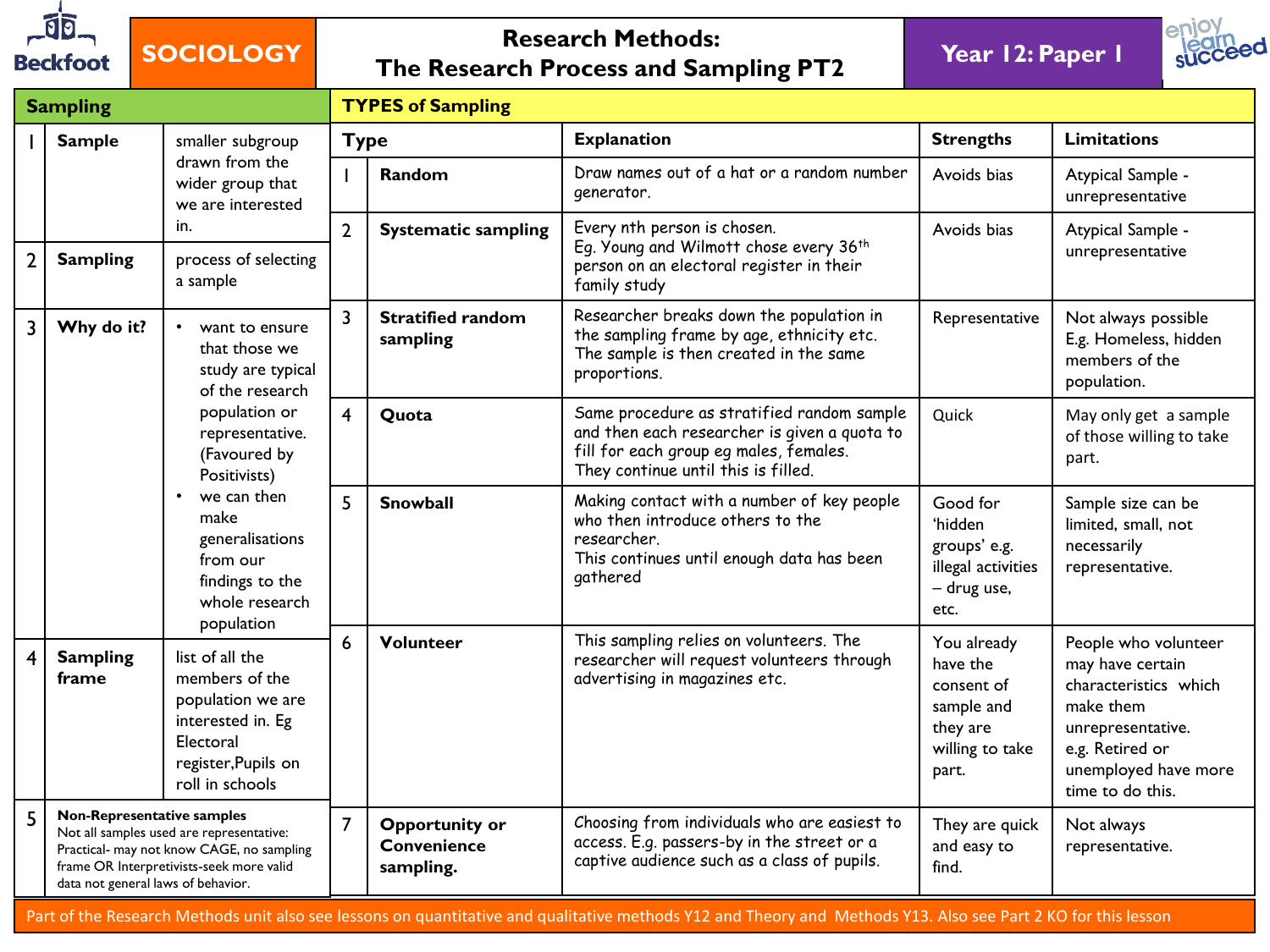

## **SOCIOLOGY Research Methods: The Research Process and Sampling PT2 Year 12: Paper 1**





|                                                                                                                                                                                                                   | <b>Sampling</b>                                                                                                                                                                                |                                                                                                                                             |                                                                                                                        | <b>TYPES of Sampling</b>                                                                                                                  |                                                                                                                                                                             |                                                                                  |                                                                               |  |  |
|-------------------------------------------------------------------------------------------------------------------------------------------------------------------------------------------------------------------|------------------------------------------------------------------------------------------------------------------------------------------------------------------------------------------------|---------------------------------------------------------------------------------------------------------------------------------------------|------------------------------------------------------------------------------------------------------------------------|-------------------------------------------------------------------------------------------------------------------------------------------|-----------------------------------------------------------------------------------------------------------------------------------------------------------------------------|----------------------------------------------------------------------------------|-------------------------------------------------------------------------------|--|--|
|                                                                                                                                                                                                                   | <b>Sample</b>                                                                                                                                                                                  | smaller subgroup                                                                                                                            |                                                                                                                        | <b>Type</b>                                                                                                                               | <b>Explanation</b>                                                                                                                                                          | <b>Strengths</b>                                                                 | <b>Limitations</b>                                                            |  |  |
|                                                                                                                                                                                                                   |                                                                                                                                                                                                | drawn from the<br>wider group that<br>we are interested                                                                                     |                                                                                                                        | Random                                                                                                                                    | Draw names out of a hat or a random number<br>generator.                                                                                                                    | Avoids bias                                                                      | Atypical Sample -<br>unrepresentative                                         |  |  |
| $\overline{2}$                                                                                                                                                                                                    | <b>Sampling</b>                                                                                                                                                                                | in.<br>process of selecting<br>a sample                                                                                                     | $\overline{2}$                                                                                                         | <b>Systematic sampling</b>                                                                                                                | Every nth person is chosen.<br>Eq. Young and Wilmott chose every 36th<br>person on an electoral register in their<br>family study                                           | Avoids bias                                                                      | Atypical Sample -<br>unrepresentative                                         |  |  |
| 3                                                                                                                                                                                                                 | Why do it?                                                                                                                                                                                     | want to ensure<br>that those we<br>study are typical<br>of the research<br>population or<br>representative.<br>(Favoured by<br>Positivists) | $\overline{3}$                                                                                                         | <b>Stratified random</b><br>sampling                                                                                                      | Researcher breaks down the population in<br>the sampling frame by age, ethnicity etc.<br>The sample is then created in the same<br>proportions.                             | Representative                                                                   | Not always possible<br>E.g. Homeless, hidden<br>members of the<br>population. |  |  |
|                                                                                                                                                                                                                   |                                                                                                                                                                                                |                                                                                                                                             | $\overline{4}$                                                                                                         | Quota                                                                                                                                     | Same procedure as stratified random sample<br>and then each researcher is given a quota to<br>fill for each group eg males, females.<br>They continue until this is filled. | Quick                                                                            | May only get a sample<br>of those willing to take<br>part.                    |  |  |
|                                                                                                                                                                                                                   |                                                                                                                                                                                                | $\bullet$<br>we can then<br>make<br>generalisations<br>from our<br>findings to the<br>whole research                                        | 5                                                                                                                      | <b>Snowball</b>                                                                                                                           | Making contact with a number of key people<br>who then introduce others to the<br>researcher.<br>This continues until enough data has been<br>gathered                      | Good for<br>'hidden<br>groups' e.g.<br>illegal activities<br>- drug use,<br>etc. | Sample size can be<br>limited, small, not<br>necessarily<br>representative.   |  |  |
| $\overline{4}$                                                                                                                                                                                                    | population<br>Volunteer<br>6<br><b>Sampling</b><br>list of all the<br>members of the<br>frame<br>population we are<br>interested in. Eg<br>Electoral<br>register, Pupils on<br>roll in schools |                                                                                                                                             | This sampling relies on volunteers. The<br>researcher will request volunteers through<br>advertising in magazines etc. | You already<br>have the<br>consent of<br>sample and<br>they are<br>willing to take<br>part.                                               | People who volunteer<br>may have certain<br>characteristics which<br>make them<br>unrepresentative.<br>e.g. Retired or<br>unemployed have more<br>time to do this.          |                                                                                  |                                                                               |  |  |
| 5<br><b>Non-Representative samples</b><br>Not all samples used are representative:<br>Practical- may not know CAGE, no sampling<br>frame OR Interpretivists-seek more valid<br>data not general laws of behavior. |                                                                                                                                                                                                | $\overline{7}$                                                                                                                              | Opportunity or<br><b>Convenience</b><br>sampling.                                                                      | Choosing from individuals who are easiest to<br>access. E.g. passers-by in the street or a<br>captive audience such as a class of pupils. | They are quick<br>and easy to<br>find.                                                                                                                                      | Not always<br>representative.                                                    |                                                                               |  |  |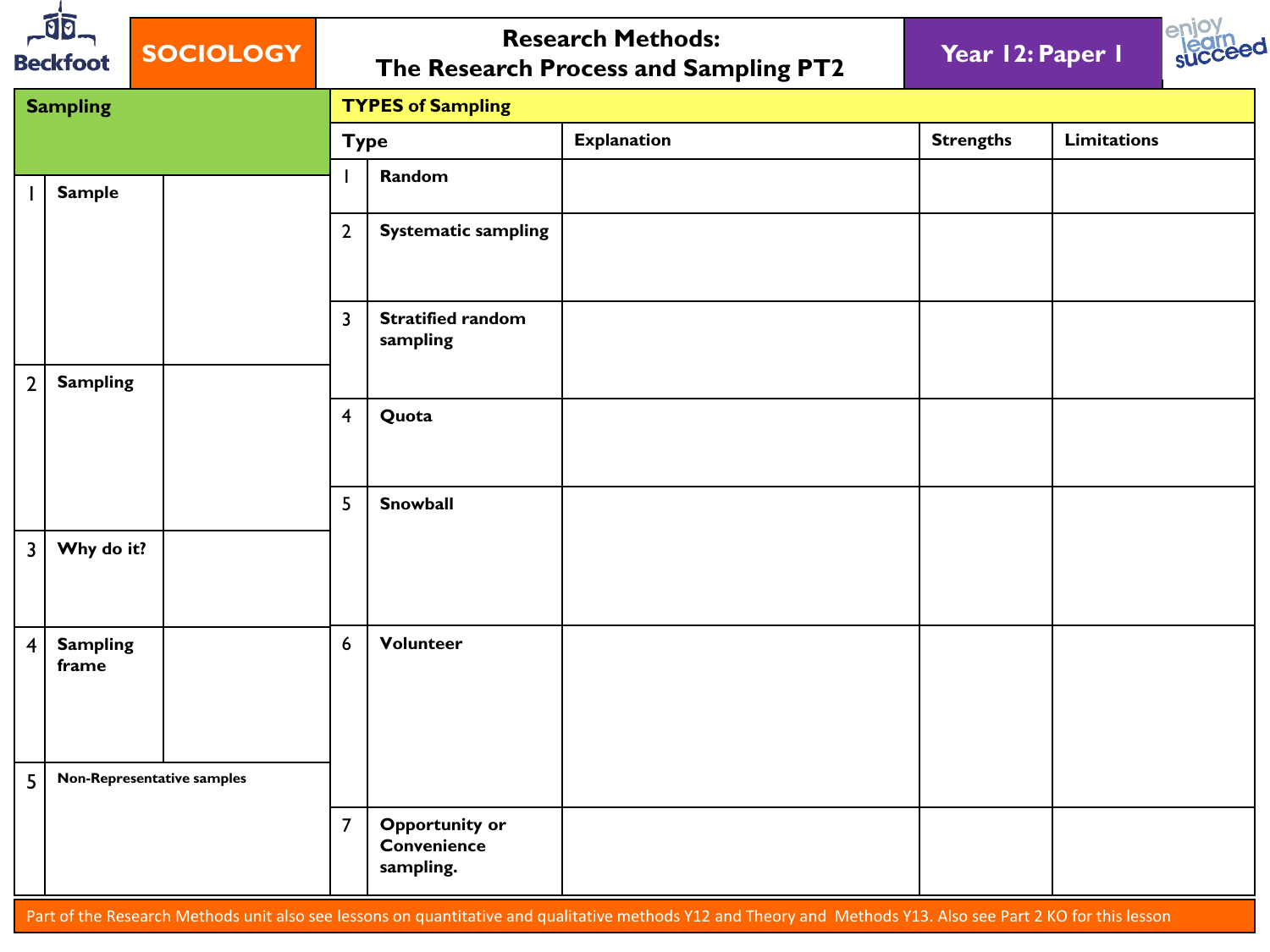| $\vec{0}$<br><b>SOCIOLOGY</b><br><b>Beckfoot</b> |                            |  |                         | <b>Research Methods:</b><br>The Research Process and Sampling PT2 | enjoy<br>succeed<br>Year 12: Paper 1 |                  |                    |  |
|--------------------------------------------------|----------------------------|--|-------------------------|-------------------------------------------------------------------|--------------------------------------|------------------|--------------------|--|
|                                                  | <b>Sampling</b>            |  |                         | <b>TYPES of Sampling</b>                                          |                                      |                  |                    |  |
|                                                  |                            |  |                         | <b>Type</b>                                                       | <b>Explanation</b>                   | <b>Strengths</b> | <b>Limitations</b> |  |
| $\mathbf{L}$                                     | <b>Sample</b>              |  |                         | Random                                                            |                                      |                  |                    |  |
|                                                  |                            |  | $\mathbf{2}$            | <b>Systematic sampling</b>                                        |                                      |                  |                    |  |
|                                                  |                            |  | $\overline{3}$          | <b>Stratified random</b><br>sampling                              |                                      |                  |                    |  |
| $2^{\circ}$                                      | <b>Sampling</b>            |  |                         |                                                                   |                                      |                  |                    |  |
|                                                  |                            |  | $\overline{\mathbf{4}}$ | Quota                                                             |                                      |                  |                    |  |
|                                                  |                            |  | 5                       | Snowball                                                          |                                      |                  |                    |  |
| $\mathsf{3}$                                     | Why do it?                 |  |                         |                                                                   |                                      |                  |                    |  |
| $\overline{\mathbf{4}}$                          | <b>Sampling</b><br>frame   |  | $6\phantom{a}$          | Volunteer                                                         |                                      |                  |                    |  |
| 5                                                | Non-Representative samples |  |                         |                                                                   |                                      |                  |                    |  |
|                                                  |                            |  | $\overline{7}$          | <b>Opportunity or</b><br>Convenience<br>sampling.                 |                                      |                  |                    |  |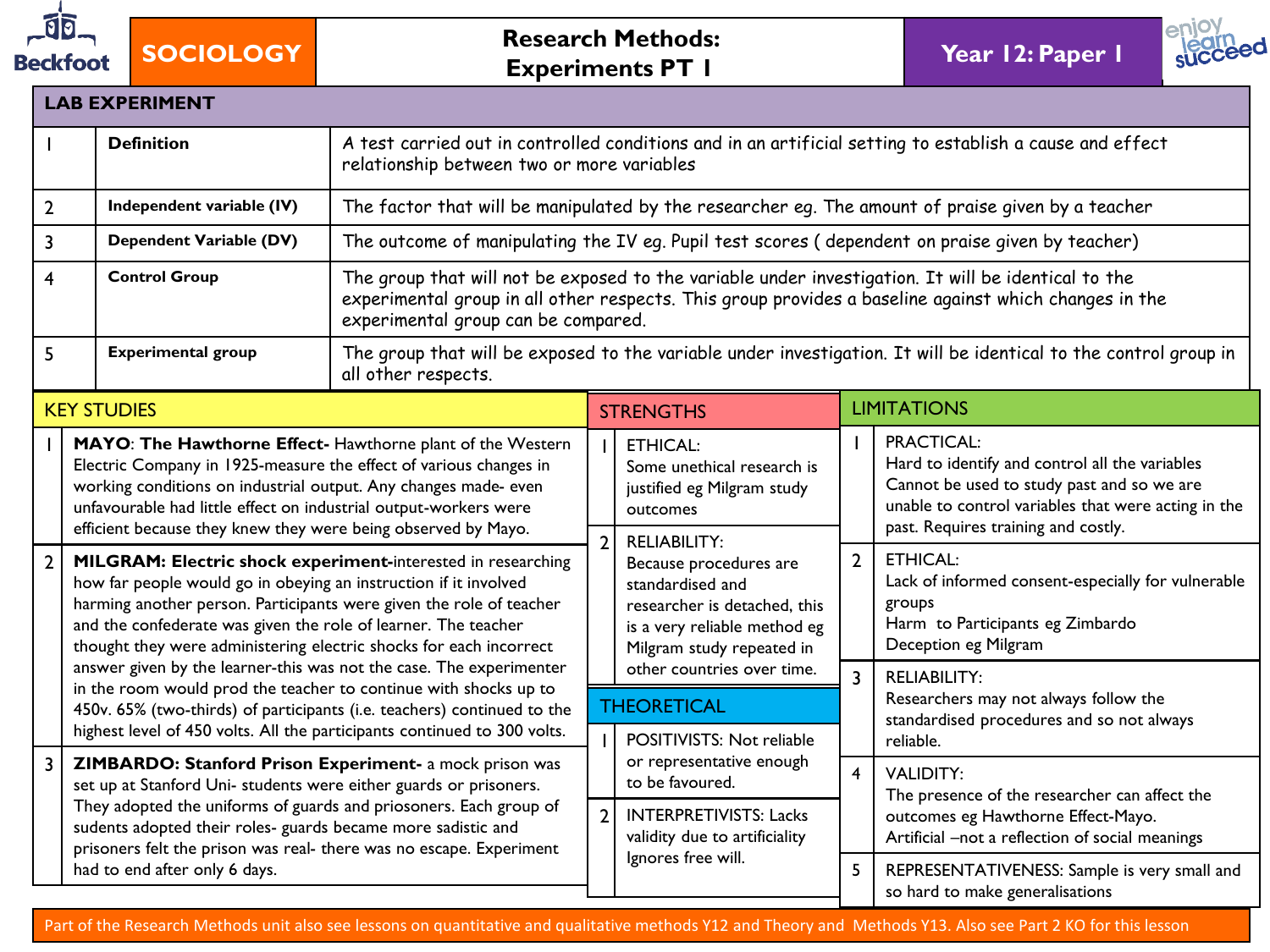

**SOCIOLOGY Research Methods: Experiments PT 1 Year 12: Paper 1**



| <b>LAB EXPERIMENT</b>                                                                                                                                                                                                                                                                                                                                                                       |                                                                                                                                                                                                                                                                                                                                                 |                                                                                                                                                        |                                                                                         |                                                                                                                                                                |                |                                                                                                                                                                                                                 |  |  |  |
|---------------------------------------------------------------------------------------------------------------------------------------------------------------------------------------------------------------------------------------------------------------------------------------------------------------------------------------------------------------------------------------------|-------------------------------------------------------------------------------------------------------------------------------------------------------------------------------------------------------------------------------------------------------------------------------------------------------------------------------------------------|--------------------------------------------------------------------------------------------------------------------------------------------------------|-----------------------------------------------------------------------------------------|----------------------------------------------------------------------------------------------------------------------------------------------------------------|----------------|-----------------------------------------------------------------------------------------------------------------------------------------------------------------------------------------------------------------|--|--|--|
|                                                                                                                                                                                                                                                                                                                                                                                             | <b>Definition</b>                                                                                                                                                                                                                                                                                                                               | A test carried out in controlled conditions and in an artificial setting to establish a cause and effect<br>relationship between two or more variables |                                                                                         |                                                                                                                                                                |                |                                                                                                                                                                                                                 |  |  |  |
| $\overline{2}$                                                                                                                                                                                                                                                                                                                                                                              | Independent variable (IV)                                                                                                                                                                                                                                                                                                                       |                                                                                                                                                        |                                                                                         |                                                                                                                                                                |                | The factor that will be manipulated by the researcher eg. The amount of praise given by a teacher                                                                                                               |  |  |  |
| 3                                                                                                                                                                                                                                                                                                                                                                                           | Dependent Variable (DV)                                                                                                                                                                                                                                                                                                                         |                                                                                                                                                        |                                                                                         |                                                                                                                                                                |                | The outcome of manipulating the IV eq. Pupil test scores (dependent on praise given by teacher)                                                                                                                 |  |  |  |
| 4                                                                                                                                                                                                                                                                                                                                                                                           | <b>Control Group</b>                                                                                                                                                                                                                                                                                                                            | experimental group can be compared.                                                                                                                    |                                                                                         |                                                                                                                                                                |                | The group that will not be exposed to the variable under investigation. It will be identical to the<br>experimental group in all other respects. This group provides a baseline against which changes in the    |  |  |  |
| 5                                                                                                                                                                                                                                                                                                                                                                                           | <b>Experimental group</b>                                                                                                                                                                                                                                                                                                                       | all other respects.                                                                                                                                    |                                                                                         |                                                                                                                                                                |                | The group that will be exposed to the variable under investigation. It will be identical to the control group in                                                                                                |  |  |  |
|                                                                                                                                                                                                                                                                                                                                                                                             | <b>KEY STUDIES</b>                                                                                                                                                                                                                                                                                                                              |                                                                                                                                                        |                                                                                         | <b>STRENGTHS</b>                                                                                                                                               |                | <b>LIMITATIONS</b>                                                                                                                                                                                              |  |  |  |
|                                                                                                                                                                                                                                                                                                                                                                                             | MAYO: The Hawthorne Effect-Hawthorne plant of the Western<br>Electric Company in 1925-measure the effect of various changes in<br>working conditions on industrial output. Any changes made- even<br>unfavourable had little effect on industrial output-workers were<br>efficient because they knew they were being observed by Mayo.          |                                                                                                                                                        | <b>ETHICAL:</b><br>Some unethical research is<br>justified eg Milgram study<br>outcomes |                                                                                                                                                                | $\mathbf{I}$   | <b>PRACTICAL:</b><br>Hard to identify and control all the variables<br>Cannot be used to study past and so we are<br>unable to control variables that were acting in the<br>past. Requires training and costly. |  |  |  |
| $\overline{2}$                                                                                                                                                                                                                                                                                                                                                                              | MILGRAM: Electric shock experiment-interested in researching<br>how far people would go in obeying an instruction if it involved<br>harming another person. Participants were given the role of teacher<br>and the confederate was given the role of learner. The teacher<br>thought they were administering electric shocks for each incorrect |                                                                                                                                                        | $\overline{2}$                                                                          | <b>RELIABILITY:</b><br>Because procedures are<br>standardised and<br>researcher is detached, this<br>is a very reliable method eg<br>Milgram study repeated in | $\overline{2}$ | <b>ETHICAL:</b><br>Lack of informed consent-especially for vulnerable<br>groups<br>Harm to Participants eg Zimbardo<br>Deception eg Milgram                                                                     |  |  |  |
| answer given by the learner-this was not the case. The experimenter<br>in the room would prod the teacher to continue with shocks up to<br>450v. 65% (two-thirds) of participants (i.e. teachers) continued to the<br>highest level of 450 volts. All the participants continued to 300 volts.                                                                                              |                                                                                                                                                                                                                                                                                                                                                 |                                                                                                                                                        |                                                                                         | other countries over time.<br><b>THEORETICAL</b><br>POSITIVISTS: Not reliable                                                                                  | $\overline{3}$ | <b>RELIABILITY:</b><br>Researchers may not always follow the<br>standardised procedures and so not always<br>reliable.                                                                                          |  |  |  |
| $\overline{3}$<br>ZIMBARDO: Stanford Prison Experiment- a mock prison was<br>set up at Stanford Uni- students were either guards or prisoners.<br>They adopted the uniforms of guards and priosoners. Each group of<br>sudents adopted their roles- guards became more sadistic and<br>prisoners felt the prison was real- there was no escape. Experiment<br>had to end after only 6 days. |                                                                                                                                                                                                                                                                                                                                                 |                                                                                                                                                        | $\overline{2}$                                                                          | or representative enough<br>to be favoured.<br><b>INTERPRETIVISTS: Lacks</b><br>validity due to artificiality                                                  |                | <b>VALIDITY:</b><br>The presence of the researcher can affect the<br>outcomes eg Hawthorne Effect-Mayo.<br>Artificial -not a reflection of social meanings                                                      |  |  |  |
|                                                                                                                                                                                                                                                                                                                                                                                             |                                                                                                                                                                                                                                                                                                                                                 |                                                                                                                                                        | Ignores free will.                                                                      |                                                                                                                                                                | 5              | REPRESENTATIVENESS: Sample is very small and<br>so hard to make generalisations                                                                                                                                 |  |  |  |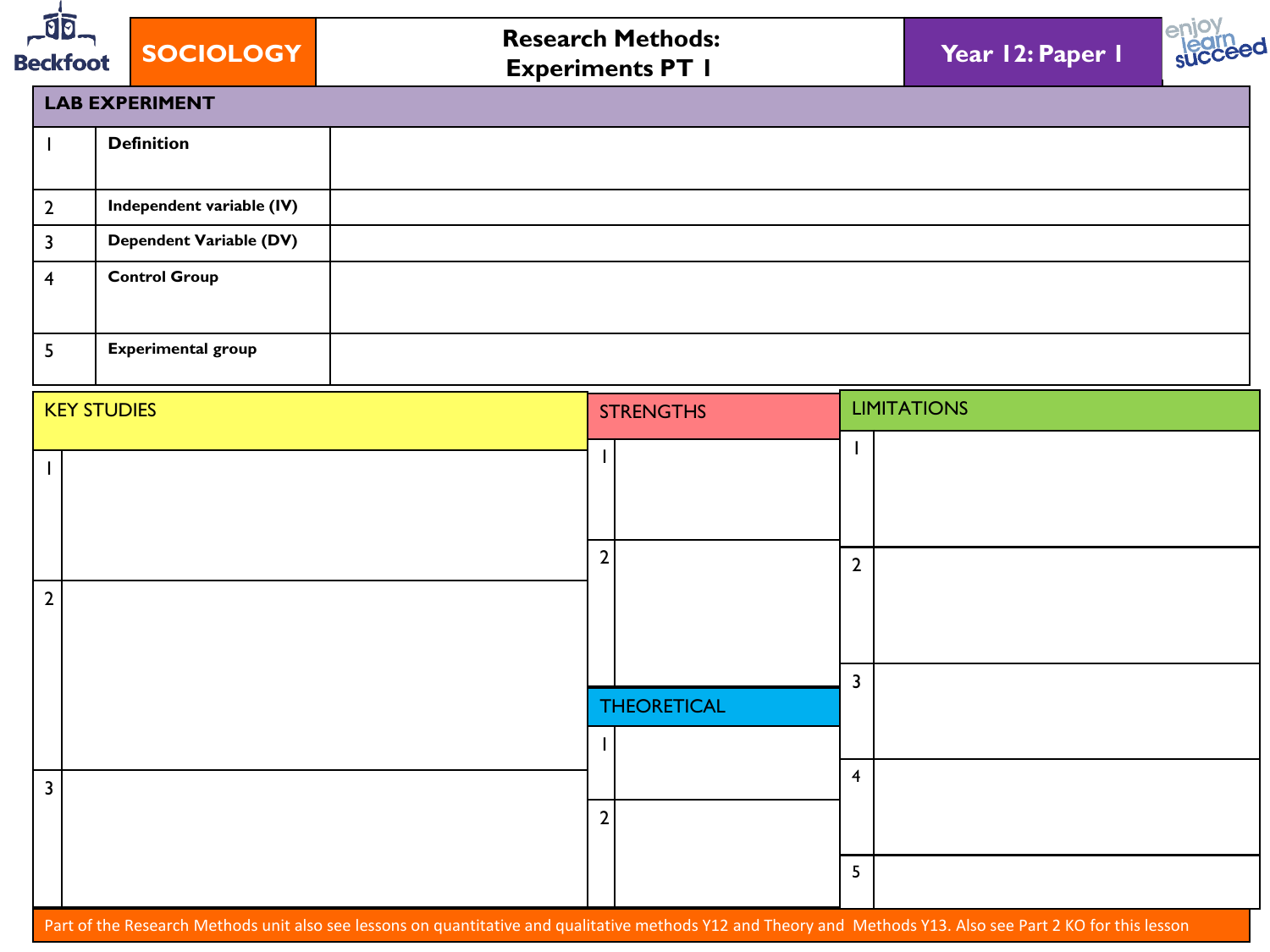



| <b>LAB EXPERIMENT</b>     |  |  |  |  |  |  |  |
|---------------------------|--|--|--|--|--|--|--|
| <b>Definition</b>         |  |  |  |  |  |  |  |
| Independent variable (IV) |  |  |  |  |  |  |  |
| Dependent Variable (DV)   |  |  |  |  |  |  |  |
| <b>Control Group</b>      |  |  |  |  |  |  |  |
| <b>Experimental group</b> |  |  |  |  |  |  |  |

| <b>KEY STUDIES</b> | <b>STRENGTHS</b>   | <b>LIMITATIONS</b>      |  |  |
|--------------------|--------------------|-------------------------|--|--|
|                    |                    |                         |  |  |
| $\overline{2}$     | $\overline{2}$     | $\overline{2}$          |  |  |
|                    | <b>THEORETICAL</b> | $\overline{3}$          |  |  |
| $\overline{3}$     | $\overline{2}$     | $\overline{\mathbf{4}}$ |  |  |
|                    |                    | $5\overline{)}$         |  |  |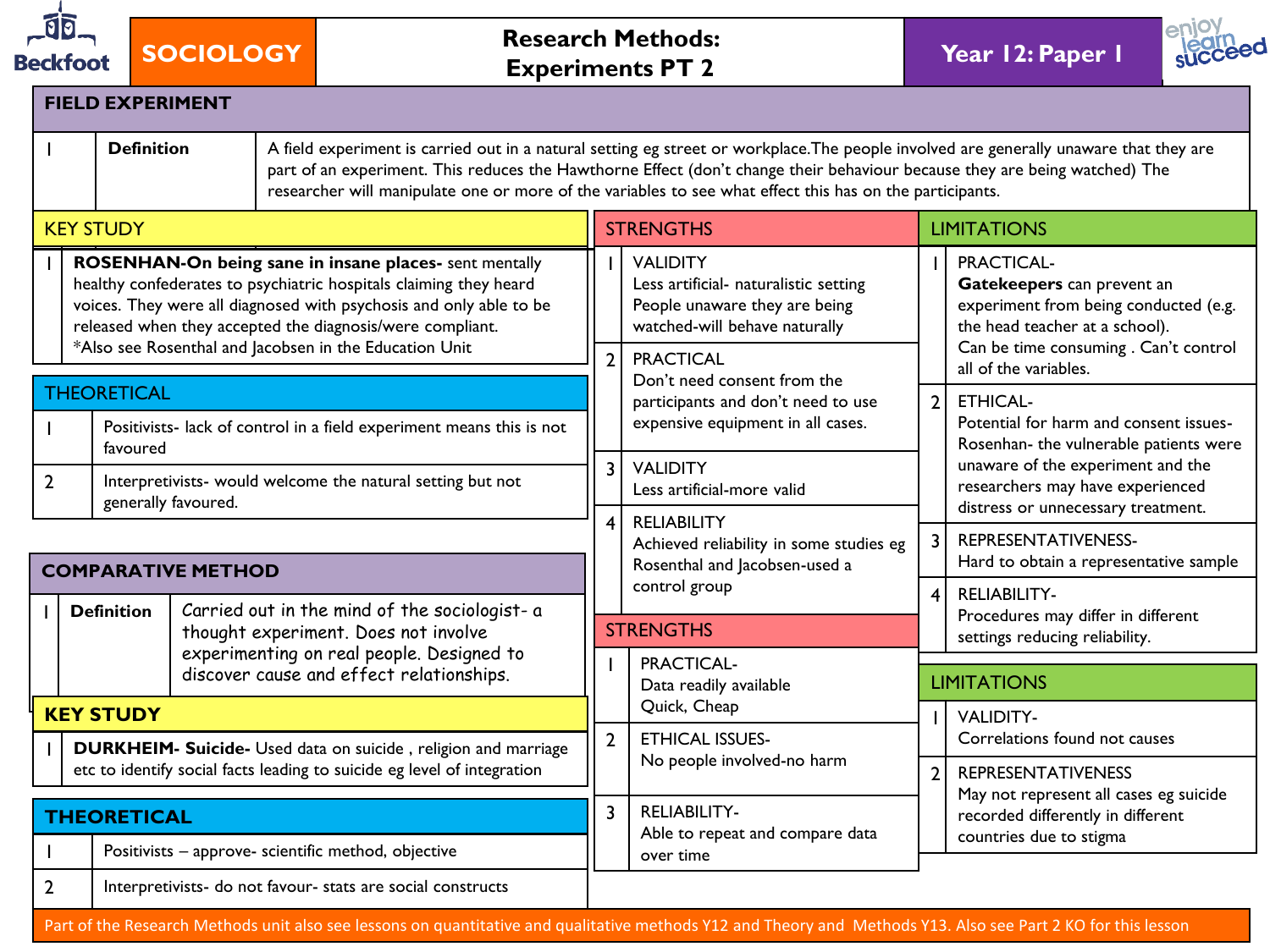

**SOCIOLOGY Research Methods: Experiments PT 2 Year 12: Paper 1**



|                | <b>FIELD EXPERIMENT</b>                                                                                                                                                                                                                                                                                                                                                                               |                           |                                                                                                                                    |                                                                                                                            |                                                                                                |                                                                                                                                                              |                                                                                                        |  |  |  |  |
|----------------|-------------------------------------------------------------------------------------------------------------------------------------------------------------------------------------------------------------------------------------------------------------------------------------------------------------------------------------------------------------------------------------------------------|---------------------------|------------------------------------------------------------------------------------------------------------------------------------|----------------------------------------------------------------------------------------------------------------------------|------------------------------------------------------------------------------------------------|--------------------------------------------------------------------------------------------------------------------------------------------------------------|--------------------------------------------------------------------------------------------------------|--|--|--|--|
|                | <b>Definition</b><br>A field experiment is carried out in a natural setting eg street or workplace. The people involved are generally unaware that they are<br>part of an experiment. This reduces the Hawthorne Effect (don't change their behaviour because they are being watched) The<br>researcher will manipulate one or more of the variables to see what effect this has on the participants. |                           |                                                                                                                                    |                                                                                                                            |                                                                                                |                                                                                                                                                              |                                                                                                        |  |  |  |  |
|                | <b>KEY STUDY</b>                                                                                                                                                                                                                                                                                                                                                                                      |                           |                                                                                                                                    |                                                                                                                            | <b>STRENGTHS</b>                                                                               |                                                                                                                                                              | <b>LIMITATIONS</b>                                                                                     |  |  |  |  |
|                | ROSENHAN-On being sane in insane places- sent mentally<br>healthy confederates to psychiatric hospitals claiming they heard<br>voices. They were all diagnosed with psychosis and only able to be<br>released when they accepted the diagnosis/were compliant.<br>*Also see Rosenthal and Jacobsen in the Education Unit                                                                              |                           |                                                                                                                                    | <b>VALIDITY</b><br>Less artificial- naturalistic setting<br>People unaware they are being<br>watched-will behave naturally |                                                                                                | PRACTICAL-<br>Gatekeepers can prevent an<br>experiment from being conducted (e.g.<br>the head teacher at a school).<br>Can be time consuming . Can't control |                                                                                                        |  |  |  |  |
|                |                                                                                                                                                                                                                                                                                                                                                                                                       |                           |                                                                                                                                    | $\overline{2}$                                                                                                             | <b>PRACTICAL</b><br>Don't need consent from the                                                |                                                                                                                                                              | all of the variables.                                                                                  |  |  |  |  |
|                | <b>THEORETICAL</b><br>Positivists- lack of control in a field experiment means this is not<br>favoured<br>Interpretivists- would welcome the natural setting but not<br>generally favoured.                                                                                                                                                                                                           |                           |                                                                                                                                    | participants and don't need to use<br>expensive equipment in all cases.                                                    | 2 <sup>1</sup>                                                                                 | <b>ETHICAL-</b><br>Potential for harm and consent issues-<br>Rosenhan- the vulnerable patients were                                                          |                                                                                                        |  |  |  |  |
| $\overline{2}$ |                                                                                                                                                                                                                                                                                                                                                                                                       |                           | $\overline{3}$<br><b>VALIDITY</b><br>Less artificial-more valid                                                                    |                                                                                                                            |                                                                                                | unaware of the experiment and the<br>researchers may have experienced<br>distress or unnecessary treatment.                                                  |                                                                                                        |  |  |  |  |
|                |                                                                                                                                                                                                                                                                                                                                                                                                       | <b>COMPARATIVE METHOD</b> |                                                                                                                                    |                                                                                                                            | <b>RELIABILITY</b><br>Achieved reliability in some studies eg<br>Rosenthal and Jacobsen-used a | 3                                                                                                                                                            | REPRESENTATIVENESS-<br>Hard to obtain a representative sample                                          |  |  |  |  |
|                |                                                                                                                                                                                                                                                                                                                                                                                                       |                           |                                                                                                                                    |                                                                                                                            | control group                                                                                  |                                                                                                                                                              | $\overline{4}$<br><b>RELIABILITY-</b>                                                                  |  |  |  |  |
|                | <b>Definition</b>                                                                                                                                                                                                                                                                                                                                                                                     |                           | Carried out in the mind of the sociologist- a<br>thought experiment. Does not involve<br>experimenting on real people. Designed to | <b>STRENGTHS</b>                                                                                                           |                                                                                                |                                                                                                                                                              | Procedures may differ in different<br>settings reducing reliability.                                   |  |  |  |  |
|                |                                                                                                                                                                                                                                                                                                                                                                                                       |                           | discover cause and effect relationships.                                                                                           |                                                                                                                            | PRACTICAL-<br>Data readily available                                                           |                                                                                                                                                              | <b>LIMITATIONS</b>                                                                                     |  |  |  |  |
|                | <b>KEY STUDY</b>                                                                                                                                                                                                                                                                                                                                                                                      |                           |                                                                                                                                    | $\overline{2}$                                                                                                             | Quick, Cheap<br><b>ETHICAL ISSUES-</b>                                                         |                                                                                                                                                              | <b>VALIDITY-</b><br>Correlations found not causes                                                      |  |  |  |  |
|                | <b>DURKHEIM- Suicide-</b> Used data on suicide, religion and marriage<br>etc to identify social facts leading to suicide eg level of integration                                                                                                                                                                                                                                                      |                           |                                                                                                                                    |                                                                                                                            | No people involved-no harm                                                                     | $\overline{2}$                                                                                                                                               | <b>REPRESENTATIVENESS</b>                                                                              |  |  |  |  |
|                | <b>THEORETICAL</b>                                                                                                                                                                                                                                                                                                                                                                                    |                           |                                                                                                                                    | $\overline{3}$                                                                                                             | <b>RELIABILITY-</b><br>Able to repeat and compare data                                         |                                                                                                                                                              | May not represent all cases eg suicide<br>recorded differently in different<br>countries due to stigma |  |  |  |  |
|                |                                                                                                                                                                                                                                                                                                                                                                                                       |                           | Positivists - approve- scientific method, objective                                                                                |                                                                                                                            | over time                                                                                      |                                                                                                                                                              |                                                                                                        |  |  |  |  |
| $\overline{2}$ |                                                                                                                                                                                                                                                                                                                                                                                                       |                           | Interpretivists- do not favour- stats are social constructs                                                                        |                                                                                                                            |                                                                                                |                                                                                                                                                              |                                                                                                        |  |  |  |  |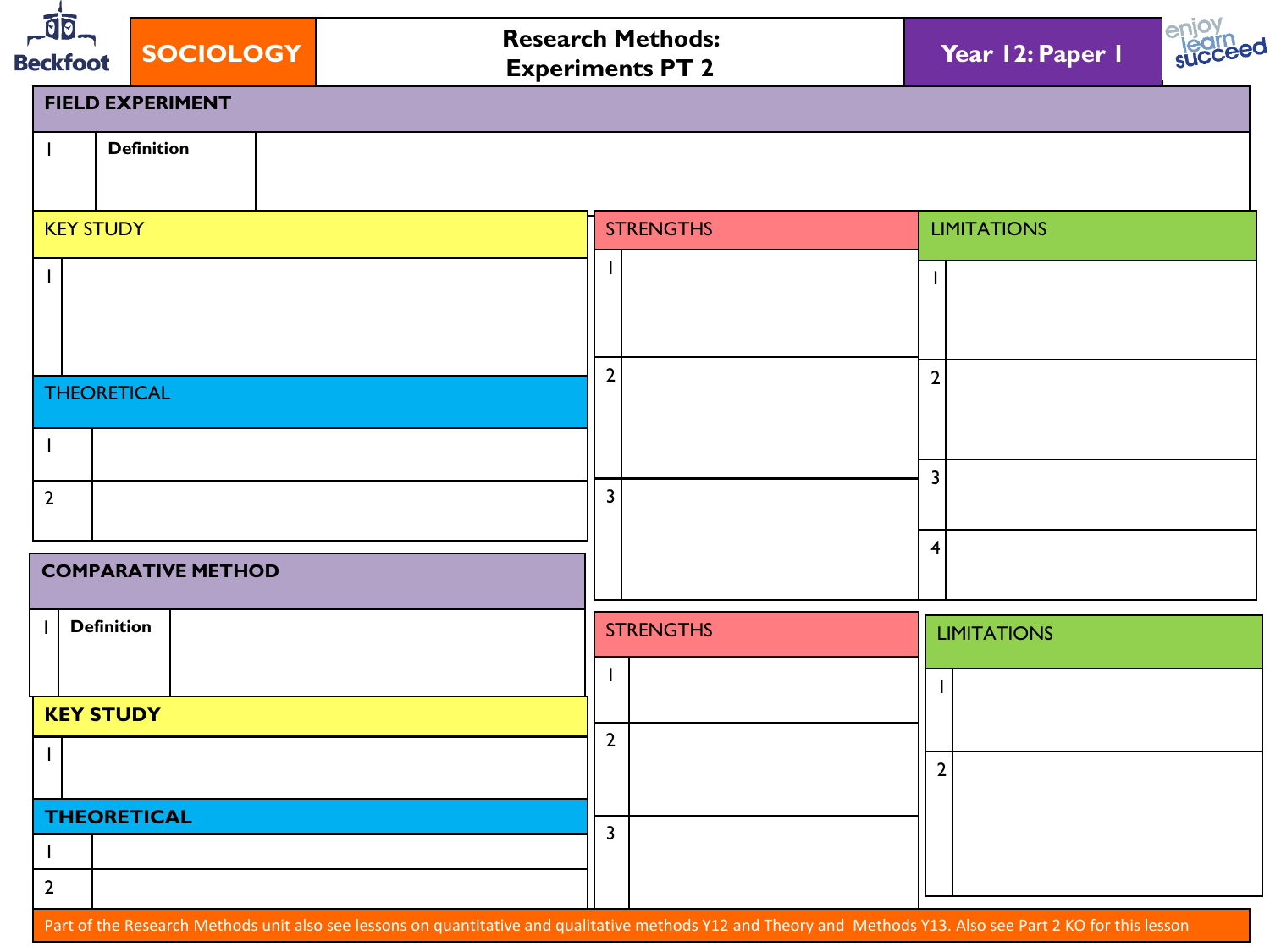| $-10$<br><b>SOCIOLOGY</b><br><b>Beckfoot</b> | <b>Research Methods:</b><br><b>Experiments PT 2</b> | enjo<br>Year 12: Paper 1 |
|----------------------------------------------|-----------------------------------------------------|--------------------------|
| <b>FIELD EXPERIMENT</b>                      |                                                     |                          |
| <b>Definition</b><br>H                       |                                                     |                          |
| <b>KEY STUDY</b>                             | <b>STRENGTHS</b>                                    | <b>LIMITATIONS</b>       |
|                                              |                                                     |                          |
|                                              |                                                     |                          |
| <b>THEORETICAL</b>                           | $\overline{2}$                                      | $\overline{2}$           |
| $\mathbf{I}$                                 |                                                     |                          |
| $\overline{2}$                               | 3                                                   | $\overline{3}$           |
| <b>COMPARATIVE METHOD</b>                    |                                                     | 4                        |
| <b>Definition</b>                            | <b>STRENGTHS</b>                                    | <b>LIMITATIONS</b>       |
|                                              |                                                     |                          |
| <b>KEY STUDY</b>                             | $\overline{2}$                                      |                          |
| <b>THEORETICAL</b>                           |                                                     | $\overline{2}$           |
| $\mathbf{I}$                                 | $\overline{3}$                                      |                          |
| $\overline{2}$                               |                                                     |                          |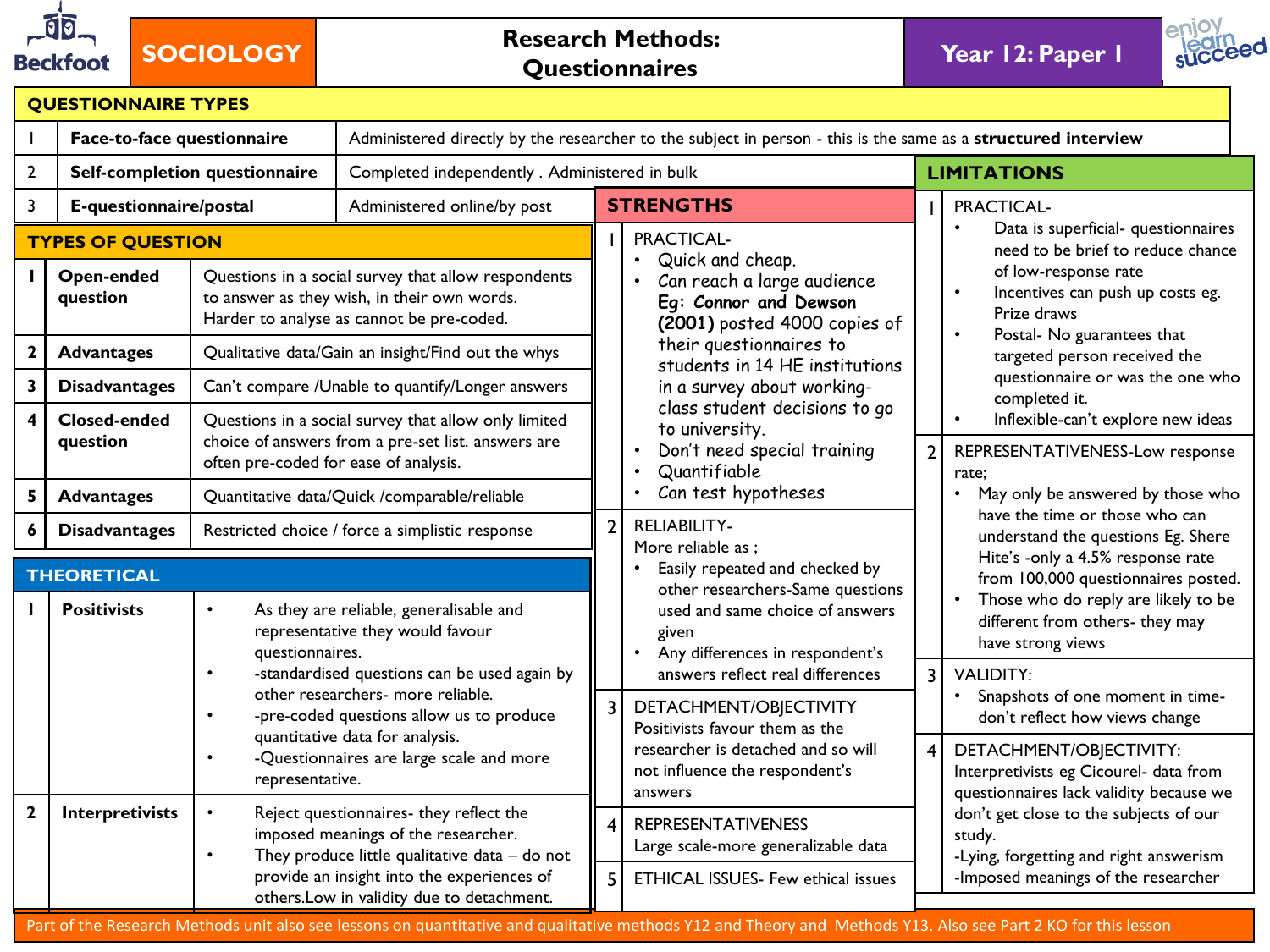

# **SOCIOLOGY Research Methods: Questionnaires**

**Year 12: Paper 1** 



|                         | <b>QUESTIONNAIRE TYPES</b>                         |                                       |                                                                                                                                                 |                |                                                                                                                                                                                                            |                |                                                                                                                                                                  |  |  |  |  |
|-------------------------|----------------------------------------------------|---------------------------------------|-------------------------------------------------------------------------------------------------------------------------------------------------|----------------|------------------------------------------------------------------------------------------------------------------------------------------------------------------------------------------------------------|----------------|------------------------------------------------------------------------------------------------------------------------------------------------------------------|--|--|--|--|
|                         | Face-to-face questionnaire                         |                                       |                                                                                                                                                 |                | Administered directly by the researcher to the subject in person - this is the same as a structured interview                                                                                              |                |                                                                                                                                                                  |  |  |  |  |
| $\mathbf{2}$            |                                                    | Self-completion questionnaire         | Completed independently . Administered in bulk                                                                                                  |                |                                                                                                                                                                                                            |                | <b>LIMITATIONS</b>                                                                                                                                               |  |  |  |  |
| 3                       | E-questionnaire/postal                             |                                       | Administered online/by post                                                                                                                     |                | <b>STRENGTHS</b>                                                                                                                                                                                           |                | PRACTICAL-                                                                                                                                                       |  |  |  |  |
|                         | <b>TYPES OF QUESTION</b><br>Open-ended<br>question |                                       | Questions in a social survey that allow respondents<br>to answer as they wish, in their own words.<br>Harder to analyse as cannot be pre-coded. |                | PRACTICAL-<br>Quick and cheap.<br>$\bullet$<br>Can reach a large audience<br>Eg: Connor and Dewson<br>(2001) posted 4000 copies of                                                                         |                | Data is superficial- questionnaires<br>need to be brief to reduce chance<br>of low-response rate<br>Incentives can push up costs eg.<br>$\bullet$<br>Prize draws |  |  |  |  |
| $\mathbf 2$             | <b>Advantages</b>                                  |                                       | Qualitative data/Gain an insight/Find out the whys                                                                                              |                | their questionnaires to                                                                                                                                                                                    |                | Postal- No guarantees that<br>$\bullet$<br>targeted person received the                                                                                          |  |  |  |  |
| $\overline{\mathbf{3}}$ | <b>Disadvantages</b>                               |                                       | Can't compare /Unable to quantify/Longer answers                                                                                                |                | students in 14 HE institutions<br>in a survey about working-                                                                                                                                               |                | questionnaire or was the one who<br>completed it.                                                                                                                |  |  |  |  |
| $\overline{\mathbf{4}}$ | <b>Closed-ended</b><br>question                    | often pre-coded for ease of analysis. | Questions in a social survey that allow only limited<br>choice of answers from a pre-set list. answers are                                      |                | class student decisions to go<br>to university.<br>Don't need special training<br>Quantifiable<br>$\bullet$                                                                                                | $\overline{2}$ | Inflexible-can't explore new ideas<br>$\bullet$<br>REPRESENTATIVENESS-Low response<br>rate;                                                                      |  |  |  |  |
| 5                       | <b>Advantages</b>                                  |                                       | Quantitative data/Quick /comparable/reliable                                                                                                    |                | Can test hypotheses<br>$\bullet$                                                                                                                                                                           |                | May only be answered by those who                                                                                                                                |  |  |  |  |
| 6                       | <b>Disadvantages</b>                               |                                       | Restricted choice / force a simplistic response                                                                                                 | $\overline{2}$ | <b>RELIABILITY-</b><br>More reliable as ;                                                                                                                                                                  |                | have the time or those who can<br>understand the questions Eg. Shere                                                                                             |  |  |  |  |
|                         | <b>THEORETICAL</b>                                 |                                       |                                                                                                                                                 |                | Easily repeated and checked by                                                                                                                                                                             |                | Hite's -only a 4.5% response rate<br>from 100,000 questionnaires posted.                                                                                         |  |  |  |  |
| п                       | <b>Positivists</b>                                 | $\bullet$<br>questionnaires.          | As they are reliable, generalisable and<br>representative they would favour                                                                     |                | other researchers-Same questions<br>used and same choice of answers<br>given<br>Any differences in respondent's<br>$\bullet$                                                                               |                | Those who do reply are likely to be<br>different from others- they may<br>have strong views                                                                      |  |  |  |  |
|                         |                                                    | $\bullet$                             | -standardised questions can be used again by<br>other researchers- more reliable.<br>-pre-coded questions allow us to produce                   | 3              | answers reflect real differences<br>DETACHMENT/OBJECTIVITY<br>Positivists favour them as the                                                                                                               | $\overline{3}$ | <b>VALIDITY:</b><br>Snapshots of one moment in time-<br>don't reflect how views change                                                                           |  |  |  |  |
|                         |                                                    | $\bullet$<br>representative.          | quantitative data for analysis.<br>-Questionnaires are large scale and more                                                                     |                | researcher is detached and so will<br>not influence the respondent's<br>answers                                                                                                                            | $\vert$ 4      | DETACHMENT/OBJECTIVITY:<br>Interpretivists eg Cicourel- data from<br>questionnaires lack validity because we                                                     |  |  |  |  |
| $\mathbf{2}$            | Interpretivists                                    | $\bullet$<br>$\bullet$                | Reject questionnaires- they reflect the<br>imposed meanings of the researcher.<br>They produce little qualitative data $-$ do not               |                | <b>REPRESENTATIVENESS</b><br>Large scale-more generalizable data                                                                                                                                           |                | don't get close to the subjects of our<br>study.<br>-Lying, forgetting and right answerism                                                                       |  |  |  |  |
|                         |                                                    |                                       | provide an insight into the experiences of<br>others. Low in validity due to detachment.                                                        | 5              | <b>ETHICAL ISSUES- Few ethical issues</b><br>Part of the Research Methods unit also see lessons on quantitative and qualitative methods Y12 and Theory and Methods Y13. Also see Part 2 KO for this lesson |                | -Imposed meanings of the researcher                                                                                                                              |  |  |  |  |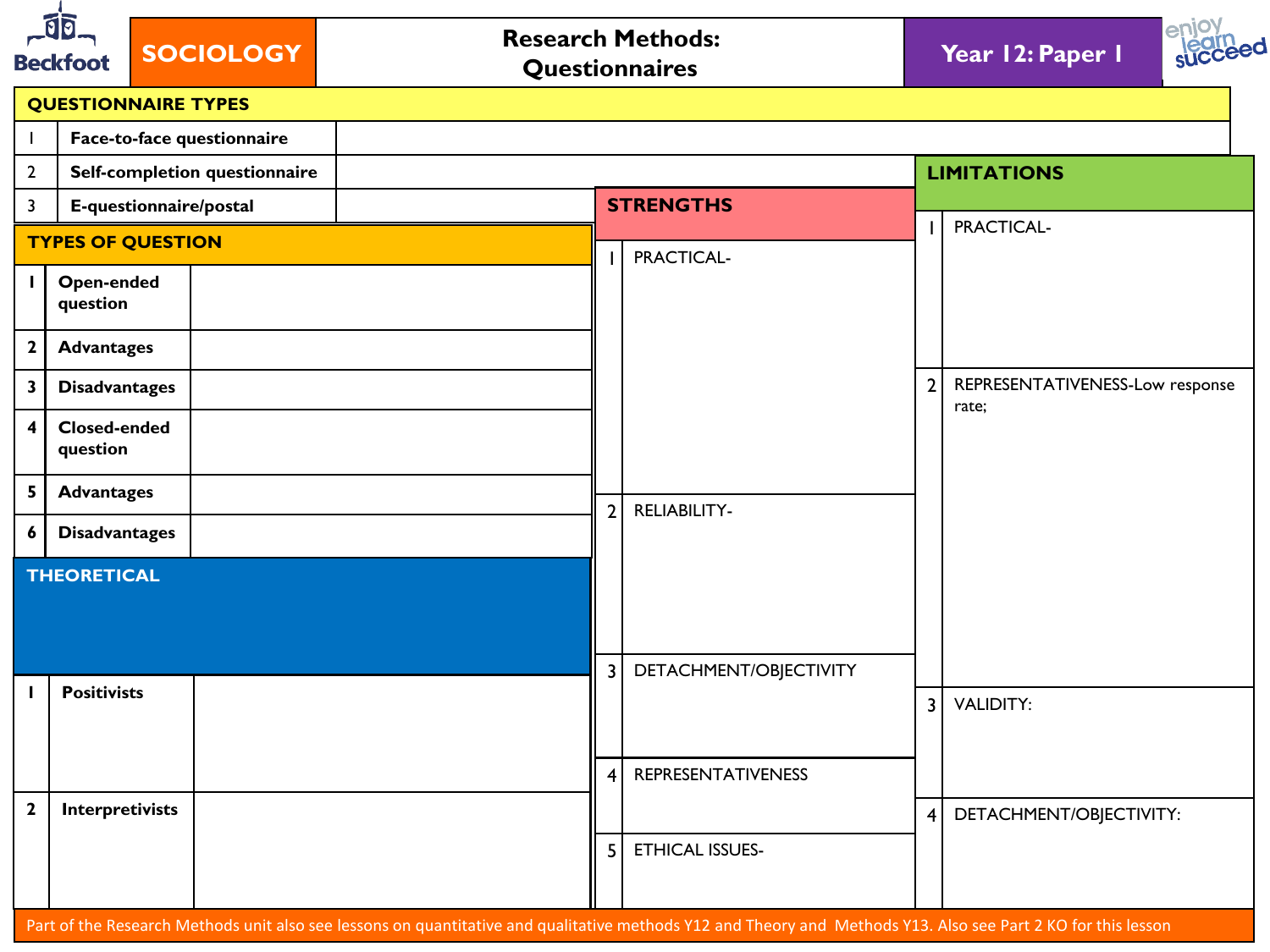| ৰ্বান<br><b>SOCIOLOGY</b><br><b>Beckfoot</b> |                                 | <b>Research Methods:</b><br>Questionnaires |                |                           | Year 12: Paper 1 |                                 |
|----------------------------------------------|---------------------------------|--------------------------------------------|----------------|---------------------------|------------------|---------------------------------|
|                                              |                                 | <b>QUESTIONNAIRE TYPES</b>                 |                |                           |                  |                                 |
| $\mathbf{I}$                                 |                                 | Face-to-face questionnaire                 |                |                           |                  |                                 |
| $\overline{2}$                               |                                 | Self-completion questionnaire              |                |                           |                  | <b>LIMITATIONS</b>              |
| $\mathbf{3}$                                 |                                 | E-questionnaire/postal                     |                | <b>STRENGTHS</b>          |                  | PRACTICAL-                      |
|                                              |                                 | <b>TYPES OF QUESTION</b>                   |                | PRACTICAL-                |                  |                                 |
| $\mathbf{I}$                                 | Open-ended<br>question          |                                            |                |                           |                  |                                 |
| $\mathbf{2}$                                 | <b>Advantages</b>               |                                            |                |                           |                  |                                 |
| $\overline{\mathbf{3}}$                      | <b>Disadvantages</b>            |                                            |                |                           | $\overline{2}$   | REPRESENTATIVENESS-Low response |
| $\overline{\mathbf{4}}$                      | <b>Closed-ended</b><br>question |                                            |                |                           |                  | rate;                           |
| 5                                            | <b>Advantages</b>               |                                            |                |                           |                  |                                 |
| 6                                            | <b>Disadvantages</b>            |                                            | 2 <sup>1</sup> | <b>RELIABILITY-</b>       |                  |                                 |
|                                              | <b>THEORETICAL</b>              |                                            |                |                           |                  |                                 |
|                                              |                                 |                                            |                | 3 DETACHMENT/OBJECTIVITY  |                  |                                 |
| п                                            | <b>Positivists</b>              |                                            |                |                           | $\overline{3}$   | <b>VALIDITY:</b>                |
|                                              |                                 |                                            | $\vert$ 4      | <b>REPRESENTATIVENESS</b> |                  |                                 |
| $\mathbf{2}$                                 | Interpretivists                 |                                            |                |                           | 4 <sup>1</sup>   | DETACHMENT/OBJECTIVITY:         |
|                                              |                                 |                                            | 5              | <b>ETHICAL ISSUES-</b>    |                  |                                 |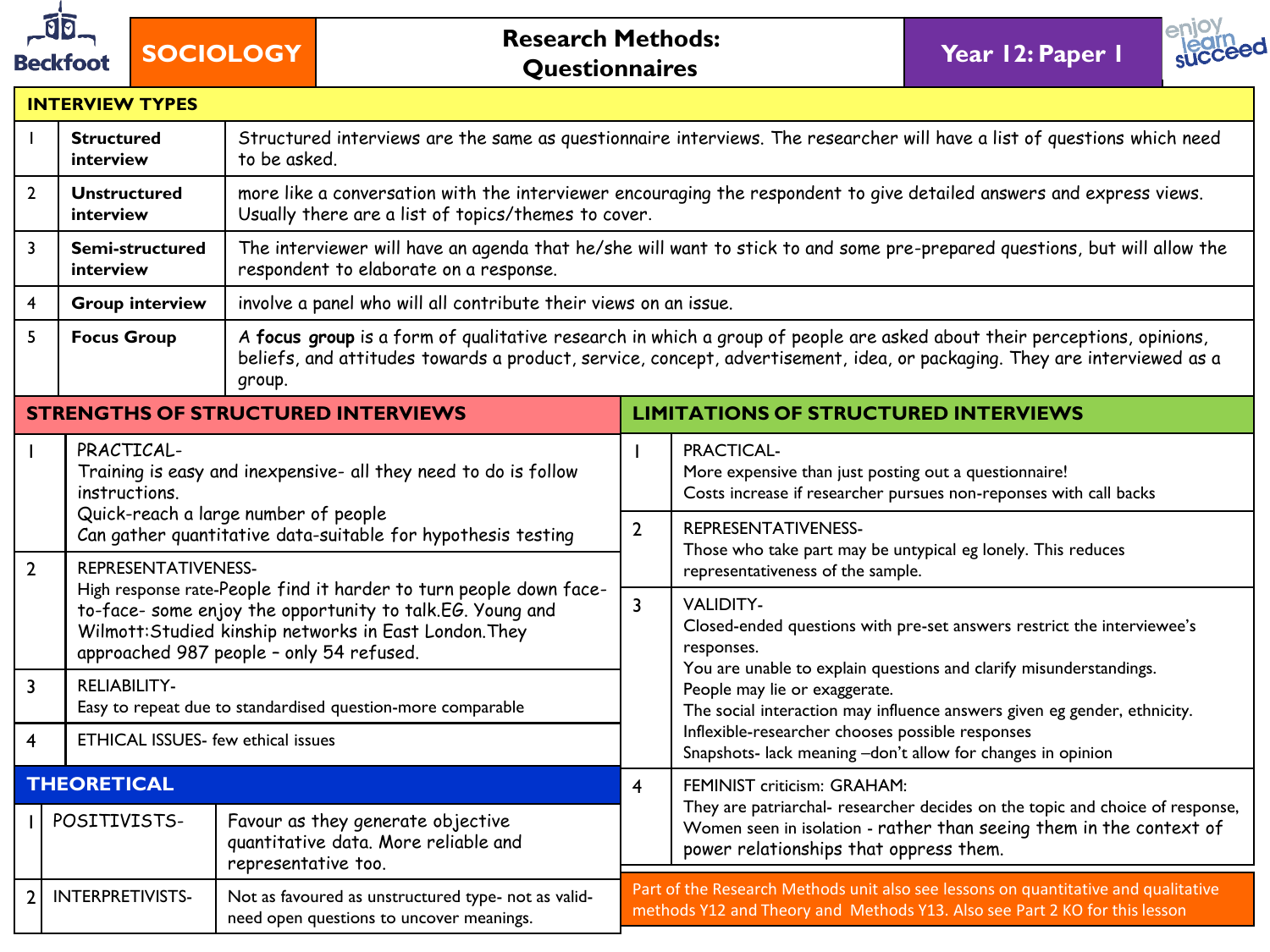

# **SOCIOLOGY Research Methods:**<br>**Questionnaires**

**Year 12: Paper 1** 



|  |  |  | <b>INTERVIEW TYPES</b> |  |
|--|--|--|------------------------|--|
|  |  |  |                        |  |

|                                                                                                                                       | <b>Structured</b><br>interview            | to be asked.                                                                                                                                                    | Structured interviews are the same as questionnaire interviews. The researcher will have a list of questions which need                                                     |                                                                                                                                                                                                                                                     |  |  |  |  |  |  |
|---------------------------------------------------------------------------------------------------------------------------------------|-------------------------------------------|-----------------------------------------------------------------------------------------------------------------------------------------------------------------|-----------------------------------------------------------------------------------------------------------------------------------------------------------------------------|-----------------------------------------------------------------------------------------------------------------------------------------------------------------------------------------------------------------------------------------------------|--|--|--|--|--|--|
| $\overline{2}$                                                                                                                        | <b>Unstructured</b><br>interview          |                                                                                                                                                                 | more like a conversation with the interviewer encouraging the respondent to give detailed answers and express views.<br>Usually there are a list of topics/themes to cover. |                                                                                                                                                                                                                                                     |  |  |  |  |  |  |
| 3                                                                                                                                     | Semi-structured<br>interview              | respondent to elaborate on a response.                                                                                                                          |                                                                                                                                                                             | The interviewer will have an agenda that he/she will want to stick to and some pre-prepared questions, but will allow the                                                                                                                           |  |  |  |  |  |  |
| 4                                                                                                                                     | <b>Group interview</b>                    | involve a panel who will all contribute their views on an issue.                                                                                                |                                                                                                                                                                             |                                                                                                                                                                                                                                                     |  |  |  |  |  |  |
| 5                                                                                                                                     | <b>Focus Group</b>                        | group.                                                                                                                                                          |                                                                                                                                                                             | A focus group is a form of qualitative research in which a group of people are asked about their perceptions, opinions,<br>beliefs, and attitudes towards a product, service, concept, advertisement, idea, or packaging. They are interviewed as a |  |  |  |  |  |  |
|                                                                                                                                       |                                           | <b>STRENGTHS OF STRUCTURED INTERVIEWS</b>                                                                                                                       |                                                                                                                                                                             | <b>LIMITATIONS OF STRUCTURED INTERVIEWS</b>                                                                                                                                                                                                         |  |  |  |  |  |  |
|                                                                                                                                       | PRACTICAL-<br><i>instructions</i>         | Training is easy and inexpensive- all they need to do is follow                                                                                                 |                                                                                                                                                                             | PRACTICAL-<br>More expensive than just posting out a questionnaire!<br>Costs increase if researcher pursues non-reponses with call backs                                                                                                            |  |  |  |  |  |  |
|                                                                                                                                       |                                           | Quick-reach a large number of people<br>Can gather quantitative data-suitable for hypothesis testing                                                            | $\overline{2}$                                                                                                                                                              | REPRESENTATIVENESS-<br>Those who take part may be untypical eg lonely. This reduces                                                                                                                                                                 |  |  |  |  |  |  |
| $2^{\circ}$                                                                                                                           | REPRESENTATIVENESS-                       | High response rate-People find it harder to turn people down face-                                                                                              |                                                                                                                                                                             | representativeness of the sample.                                                                                                                                                                                                                   |  |  |  |  |  |  |
|                                                                                                                                       |                                           | to-face- some enjoy the opportunity to talk.EG. Young and<br>Wilmott: Studied kinship networks in East London. They<br>approached 987 people - only 54 refused. | $\overline{3}$                                                                                                                                                              | <b>VALIDITY-</b><br>Closed-ended questions with pre-set answers restrict the interviewee's<br>responses.<br>You are unable to explain questions and clarify misunderstandings.                                                                      |  |  |  |  |  |  |
| $\overline{3}$                                                                                                                        | <b>RELIABILITY-</b>                       | Easy to repeat due to standardised question-more comparable                                                                                                     |                                                                                                                                                                             | People may lie or exaggerate.<br>The social interaction may influence answers given eg gender, ethnicity.                                                                                                                                           |  |  |  |  |  |  |
| 4                                                                                                                                     | <b>ETHICAL ISSUES-</b> few ethical issues |                                                                                                                                                                 |                                                                                                                                                                             | Inflexible-researcher chooses possible responses<br>Snapshots- lack meaning -don't allow for changes in opinion                                                                                                                                     |  |  |  |  |  |  |
|                                                                                                                                       | <b>THEORETICAL</b>                        |                                                                                                                                                                 | 4                                                                                                                                                                           | FEMINIST criticism: GRAHAM:                                                                                                                                                                                                                         |  |  |  |  |  |  |
|                                                                                                                                       | POSITIVISTS-                              | Favour as they generate objective<br>quantitative data. More reliable and<br>representative too.                                                                |                                                                                                                                                                             | They are patriarchal- researcher decides on the topic and choice of response,<br>Women seen in isolation - rather than seeing them in the context of<br>power relationships that oppress them.                                                      |  |  |  |  |  |  |
| INTERPRETIVISTS-<br>2 <sup>1</sup><br>Not as favoured as unstructured type- not as valid-<br>need open questions to uncover meanings. |                                           |                                                                                                                                                                 | Part of the Research Methods unit also see lessons on quantitative and qualitative<br>methods Y12 and Theory and Methods Y13. Also see Part 2 KO for this lesson            |                                                                                                                                                                                                                                                     |  |  |  |  |  |  |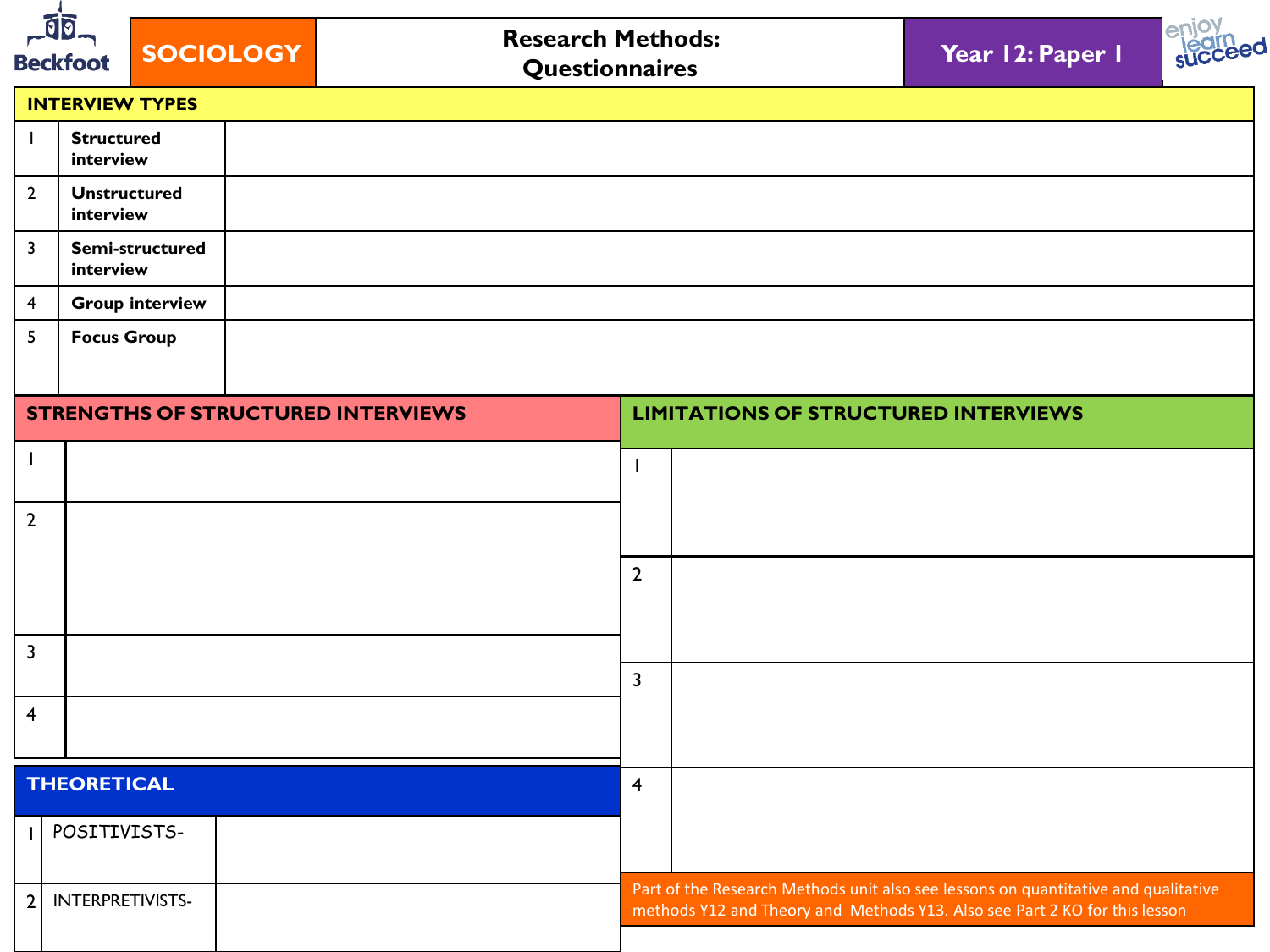| $-10$<br><b>Research Methods:</b><br><b>SOCIOLOGY</b><br><b>Beckfoot</b><br>Questionnaires |                                           |  |  |                | Year 12: Paper 1                            |                                                                                                                                                                  |  |
|--------------------------------------------------------------------------------------------|-------------------------------------------|--|--|----------------|---------------------------------------------|------------------------------------------------------------------------------------------------------------------------------------------------------------------|--|
|                                                                                            | <b>INTERVIEW TYPES</b>                    |  |  |                |                                             |                                                                                                                                                                  |  |
|                                                                                            | <b>Structured</b><br>interview            |  |  |                |                                             |                                                                                                                                                                  |  |
| $\overline{2}$                                                                             | <b>Unstructured</b><br>interview          |  |  |                |                                             |                                                                                                                                                                  |  |
| 3                                                                                          | Semi-structured<br>interview              |  |  |                |                                             |                                                                                                                                                                  |  |
| 4                                                                                          | <b>Group interview</b>                    |  |  |                |                                             |                                                                                                                                                                  |  |
| 5                                                                                          | <b>Focus Group</b>                        |  |  |                |                                             |                                                                                                                                                                  |  |
|                                                                                            | <b>STRENGTHS OF STRUCTURED INTERVIEWS</b> |  |  |                | <b>LIMITATIONS OF STRUCTURED INTERVIEWS</b> |                                                                                                                                                                  |  |
| $\mathbf{I}$                                                                               |                                           |  |  | $\mathbf{I}$   |                                             |                                                                                                                                                                  |  |
| $\overline{2}$                                                                             |                                           |  |  |                |                                             |                                                                                                                                                                  |  |
|                                                                                            |                                           |  |  | $\overline{2}$ |                                             |                                                                                                                                                                  |  |
|                                                                                            |                                           |  |  |                |                                             |                                                                                                                                                                  |  |
| $\mathbf{3}$                                                                               |                                           |  |  | $\overline{3}$ |                                             |                                                                                                                                                                  |  |
| $\overline{\mathbf{4}}$                                                                    |                                           |  |  |                |                                             |                                                                                                                                                                  |  |
|                                                                                            | <b>THEORETICAL</b>                        |  |  | $\overline{4}$ |                                             |                                                                                                                                                                  |  |
|                                                                                            | POSITIVISTS-                              |  |  |                |                                             |                                                                                                                                                                  |  |
| $\overline{2}$                                                                             | INTERPRETIVISTS-                          |  |  |                |                                             | Part of the Research Methods unit also see lessons on quantitative and qualitative<br>methods Y12 and Theory and Methods Y13. Also see Part 2 KO for this lesson |  |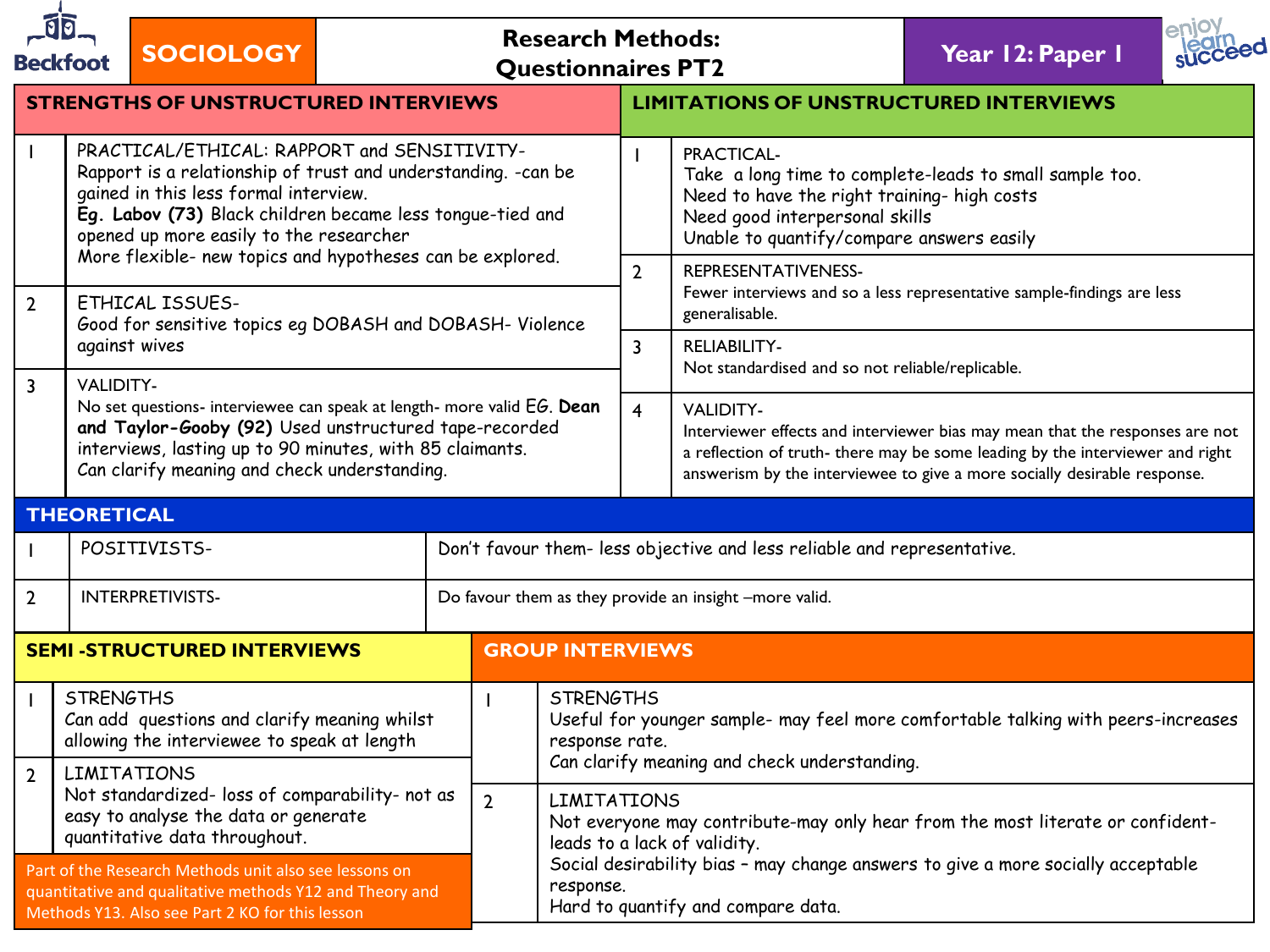|                | <b>Beckfoot</b>                                                                                                                                                                                                                                                                                                             | <b>SOCIOLOGY</b>                            |  |                         | <b>Research Methods:</b><br><b>Questionnaires PT2</b> |                                                                                                                                                                                      |                                                                                                                                                                                                     | Year 12: Paper 1                                                                                                                                                                                                                          |  |  |
|----------------|-----------------------------------------------------------------------------------------------------------------------------------------------------------------------------------------------------------------------------------------------------------------------------------------------------------------------------|---------------------------------------------|--|-------------------------|-------------------------------------------------------|--------------------------------------------------------------------------------------------------------------------------------------------------------------------------------------|-----------------------------------------------------------------------------------------------------------------------------------------------------------------------------------------------------|-------------------------------------------------------------------------------------------------------------------------------------------------------------------------------------------------------------------------------------------|--|--|
|                |                                                                                                                                                                                                                                                                                                                             | <b>STRENGTHS OF UNSTRUCTURED INTERVIEWS</b> |  |                         |                                                       | <b>LIMITATIONS OF UNSTRUCTURED INTERVIEWS</b>                                                                                                                                        |                                                                                                                                                                                                     |                                                                                                                                                                                                                                           |  |  |
|                | PRACTICAL/ETHICAL: RAPPORT and SENSITIVITY-<br>Rapport is a relationship of trust and understanding. - can be<br>gained in this less formal interview.<br>Eg. Labov (73) Black children became less tongue-tied and<br>opened up more easily to the researcher<br>More flexible- new topics and hypotheses can be explored. |                                             |  |                         |                                                       |                                                                                                                                                                                      | PRACTICAL-<br>Take a long time to complete-leads to small sample too.<br>Need to have the right training- high costs<br>Need good interpersonal skills<br>Unable to quantify/compare answers easily |                                                                                                                                                                                                                                           |  |  |
| $\overline{2}$ | <b>ETHICAL ISSUES-</b><br>Good for sensitive topics eg DOBASH and DOBASH- Violence                                                                                                                                                                                                                                          |                                             |  |                         |                                                       | $\overline{2}$                                                                                                                                                                       | REPRESENTATIVENESS-<br>Fewer interviews and so a less representative sample-findings are less<br>generalisable.                                                                                     |                                                                                                                                                                                                                                           |  |  |
|                | against wives                                                                                                                                                                                                                                                                                                               |                                             |  |                         |                                                       | <b>RELIABILITY-</b><br>3<br>Not standardised and so not reliable/replicable.                                                                                                         |                                                                                                                                                                                                     |                                                                                                                                                                                                                                           |  |  |
| 3              | <b>VALIDITY-</b><br>No set questions- interviewee can speak at length- more valid EG. Dean<br>and Taylor-Gooby (92) Used unstructured tape-recorded<br>interviews, lasting up to 90 minutes, with 85 claimants.<br>Can clarify meaning and check understanding.                                                             |                                             |  |                         |                                                       | $\overline{4}$                                                                                                                                                                       | <b>VALIDITY-</b>                                                                                                                                                                                    | Interviewer effects and interviewer bias may mean that the responses are not<br>a reflection of truth- there may be some leading by the interviewer and right<br>answerism by the interviewee to give a more socially desirable response. |  |  |
|                | <b>THEORETICAL</b>                                                                                                                                                                                                                                                                                                          |                                             |  |                         |                                                       |                                                                                                                                                                                      |                                                                                                                                                                                                     |                                                                                                                                                                                                                                           |  |  |
|                |                                                                                                                                                                                                                                                                                                                             | POSITIVISTS-                                |  |                         |                                                       |                                                                                                                                                                                      | Don't favour them- less objective and less reliable and representative.                                                                                                                             |                                                                                                                                                                                                                                           |  |  |
| 2              |                                                                                                                                                                                                                                                                                                                             | INTERPRETIVISTS-                            |  |                         |                                                       |                                                                                                                                                                                      | Do favour them as they provide an insight -more valid.                                                                                                                                              |                                                                                                                                                                                                                                           |  |  |
|                |                                                                                                                                                                                                                                                                                                                             | <b>SEMI-STRUCTURED INTERVIEWS</b>           |  | <b>GROUP INTERVIEWS</b> |                                                       |                                                                                                                                                                                      |                                                                                                                                                                                                     |                                                                                                                                                                                                                                           |  |  |
| $\mathbf{I}$   | <b>STRENGTHS</b><br><b>STRENGTHS</b><br>Can add questions and clarify meaning whilst<br>allowing the interviewee to speak at length<br>response rate.<br><b>LIMITATIONS</b><br>Not standardized- loss of comparability- not as<br>$\overline{2}$<br>easy to analyse the data or generate<br>quantitative data throughout.   |                                             |  |                         |                                                       |                                                                                                                                                                                      |                                                                                                                                                                                                     | Useful for younger sample- may feel more comfortable talking with peers-increases                                                                                                                                                         |  |  |
| $\overline{2}$ |                                                                                                                                                                                                                                                                                                                             |                                             |  |                         |                                                       | Can clarify meaning and check understanding.<br><b>LIMITATIONS</b><br>Not everyone may contribute-may only hear from the most literate or confident-<br>leads to a lack of validity. |                                                                                                                                                                                                     |                                                                                                                                                                                                                                           |  |  |
|                | Part of the Research Methods unit also see lessons on<br>response.<br>quantitative and qualitative methods Y12 and Theory and<br>Methods Y13. Also see Part 2 KO for this lesson                                                                                                                                            |                                             |  |                         |                                                       | Social desirability bias - may change answers to give a more socially acceptable<br>Hard to quantify and compare data.                                                               |                                                                                                                                                                                                     |                                                                                                                                                                                                                                           |  |  |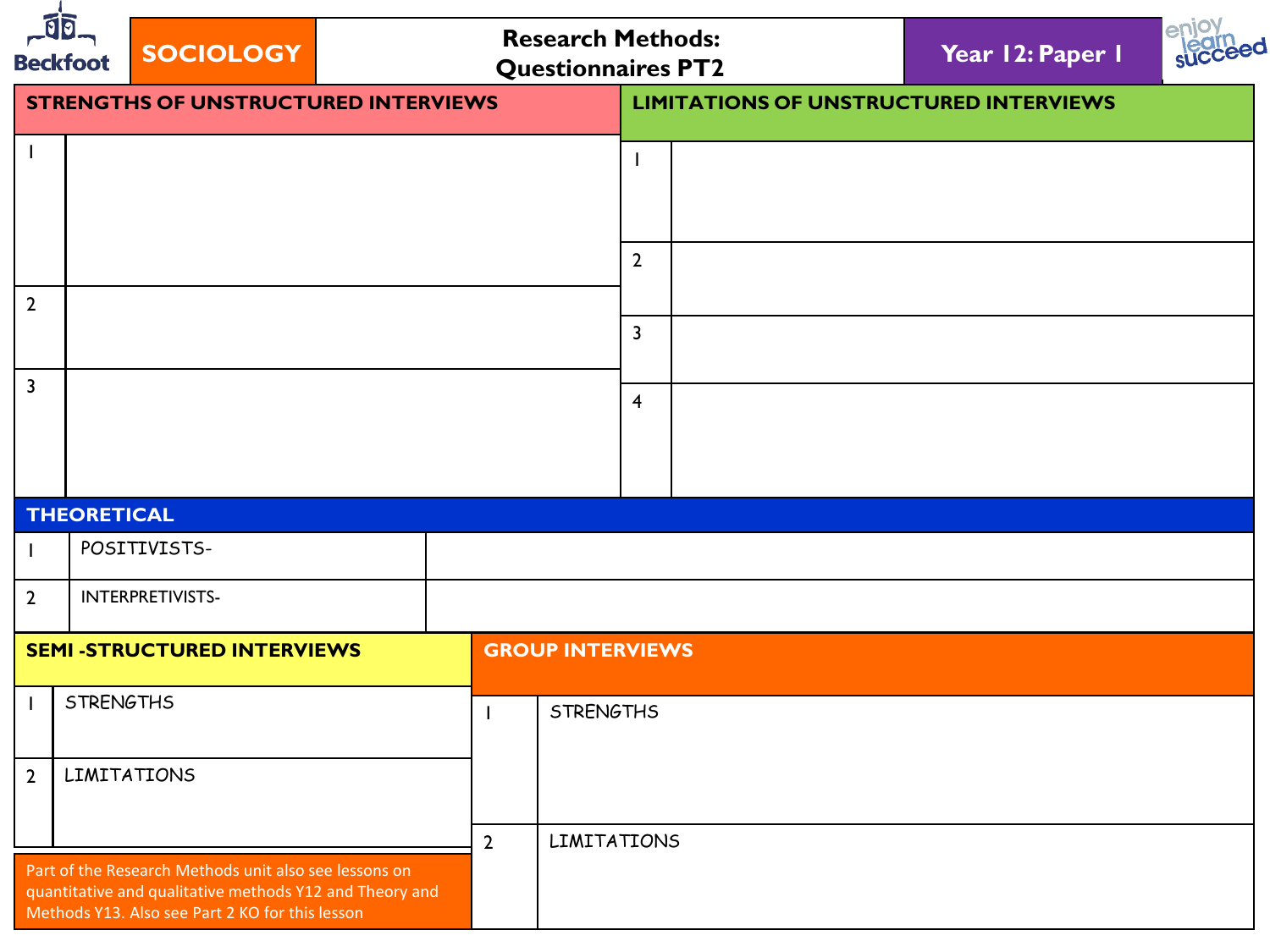|                | $\overline{\mathfrak{g}}$<br><b>SOCIOLOGY</b><br><b>Beckfoot</b>                                                                                                    |                                             |  | <b>Research Methods:</b><br><b>Questionnaires PT2</b> |                         |                                               | Year 12: Paper 1 |  |  |
|----------------|---------------------------------------------------------------------------------------------------------------------------------------------------------------------|---------------------------------------------|--|-------------------------------------------------------|-------------------------|-----------------------------------------------|------------------|--|--|
|                |                                                                                                                                                                     | <b>STRENGTHS OF UNSTRUCTURED INTERVIEWS</b> |  |                                                       |                         | <b>LIMITATIONS OF UNSTRUCTURED INTERVIEWS</b> |                  |  |  |
| $\mathbf{I}$   |                                                                                                                                                                     |                                             |  |                                                       |                         |                                               |                  |  |  |
|                |                                                                                                                                                                     |                                             |  |                                                       | $\overline{2}$          |                                               |                  |  |  |
| $\overline{2}$ |                                                                                                                                                                     |                                             |  |                                                       |                         | $\overline{\mathbf{3}}$                       |                  |  |  |
| $\overline{3}$ |                                                                                                                                                                     |                                             |  |                                                       |                         | $\overline{4}$                                |                  |  |  |
|                | <b>THEORETICAL</b>                                                                                                                                                  |                                             |  |                                                       |                         |                                               |                  |  |  |
|                |                                                                                                                                                                     | POSITIVISTS-                                |  |                                                       |                         |                                               |                  |  |  |
| $\overline{2}$ |                                                                                                                                                                     | INTERPRETIVISTS-                            |  |                                                       |                         |                                               |                  |  |  |
|                |                                                                                                                                                                     | <b>SEMI -STRUCTURED INTERVIEWS</b>          |  |                                                       | <b>GROUP INTERVIEWS</b> |                                               |                  |  |  |
|                | <b>STRENGTHS</b>                                                                                                                                                    |                                             |  |                                                       | <b>STRENGTHS</b>        |                                               |                  |  |  |
| $\overline{2}$ | <b>LIMITATIONS</b>                                                                                                                                                  |                                             |  |                                                       |                         |                                               |                  |  |  |
|                |                                                                                                                                                                     |                                             |  | $\overline{2}$                                        | LIMITATIONS             |                                               |                  |  |  |
|                | Part of the Research Methods unit also see lessons on<br>quantitative and qualitative methods Y12 and Theory and<br>Methods Y13. Also see Part 2 KO for this lesson |                                             |  |                                                       |                         |                                               |                  |  |  |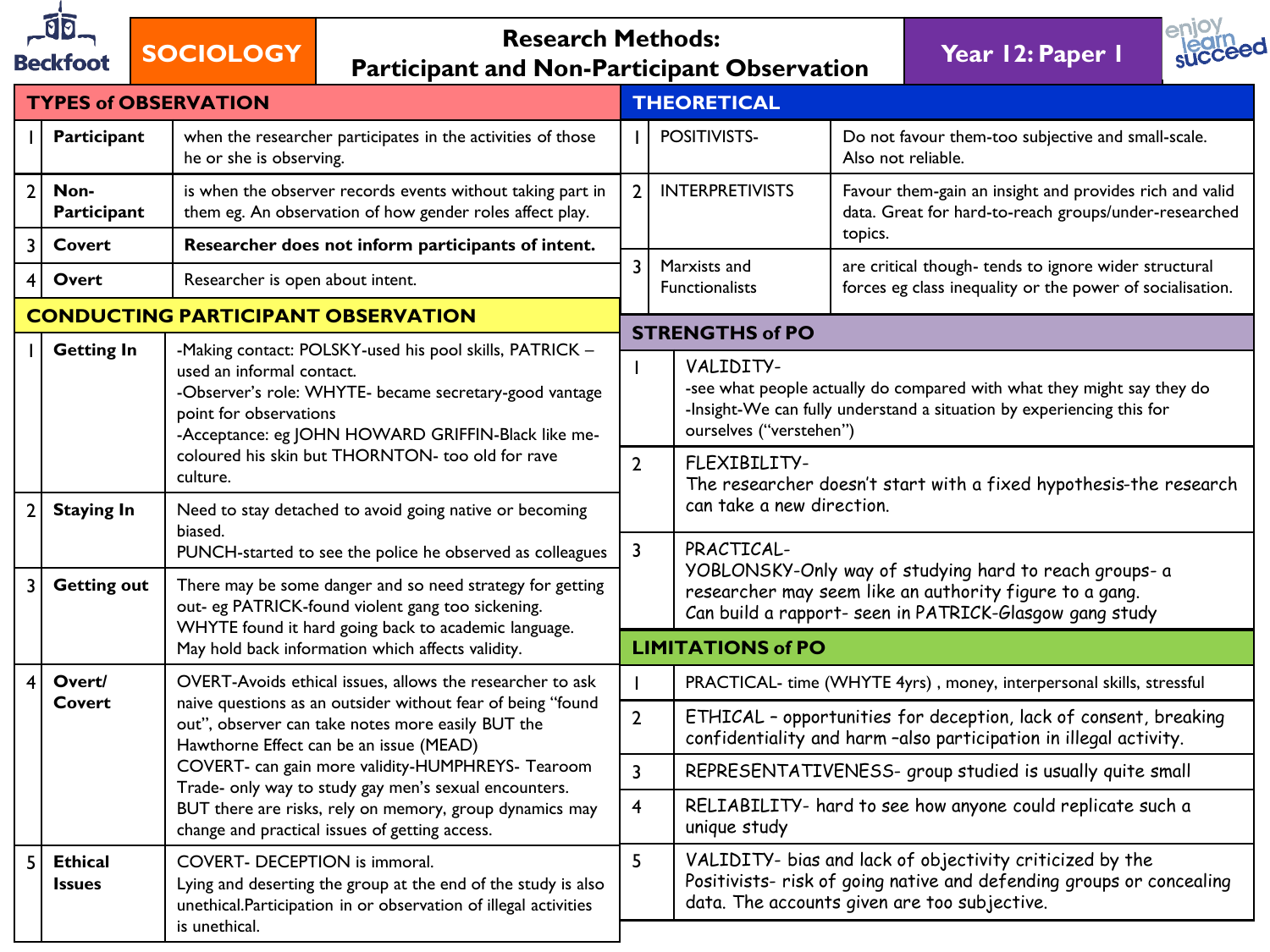

## **SOCIOLOGY Research Methods: Participant and Non-Participant Observation Year 12: Paper 1**

succeed

|                | <b>TYPES of OBSERVATION</b>     |                                                                                                                                                                                                                                     | <b>THEORETICAL</b>       |                                                                                   |                                                                                                                                                                                  |  |  |
|----------------|---------------------------------|-------------------------------------------------------------------------------------------------------------------------------------------------------------------------------------------------------------------------------------|--------------------------|-----------------------------------------------------------------------------------|----------------------------------------------------------------------------------------------------------------------------------------------------------------------------------|--|--|
|                | Participant                     | when the researcher participates in the activities of those<br>he or she is observing.                                                                                                                                              |                          | POSITIVISTS-                                                                      | Do not favour them-too subjective and small-scale.<br>Also not reliable.                                                                                                         |  |  |
| 2 <sup>1</sup> | Non-<br>Participant             | is when the observer records events without taking part in<br>them eg. An observation of how gender roles affect play.                                                                                                              | $\overline{2}$           | <b>INTERPRETIVISTS</b>                                                            | Favour them-gain an insight and provides rich and valid<br>data. Great for hard-to-reach groups/under-researched                                                                 |  |  |
| 3              | Covert                          | Researcher does not inform participants of intent.                                                                                                                                                                                  |                          |                                                                                   | topics.                                                                                                                                                                          |  |  |
| 4              | Overt                           | Researcher is open about intent.                                                                                                                                                                                                    | $\overline{3}$           | Marxists and<br><b>Functionalists</b>                                             | are critical though- tends to ignore wider structural<br>forces eg class inequality or the power of socialisation.                                                               |  |  |
|                |                                 | <b>CONDUCTING PARTICIPANT OBSERVATION</b>                                                                                                                                                                                           |                          | <b>STRENGTHS of PO</b>                                                            |                                                                                                                                                                                  |  |  |
|                | <b>Getting In</b>               | -Making contact: POLSKY-used his pool skills, PATRICK -<br>used an informal contact.<br>-Observer's role: WHYTE- became secretary-good vantage<br>point for observations<br>-Acceptance: eg JOHN HOWARD GRIFFIN-Black like me-      |                          | VALIDITY-<br>ourselves ("verstehen")                                              | -see what people actually do compared with what they might say they do<br>-Insight-We can fully understand a situation by experiencing this for                                  |  |  |
|                |                                 | coloured his skin but THORNTON- too old for rave<br>culture.                                                                                                                                                                        | $\overline{2}$           | FLEXIBILITY-<br>The researcher doesn't start with a fixed hypothesis-the research |                                                                                                                                                                                  |  |  |
| 2 <sup>1</sup> | <b>Staying In</b>               | Need to stay detached to avoid going native or becoming<br>biased.                                                                                                                                                                  |                          | can take a new direction.                                                         |                                                                                                                                                                                  |  |  |
| 3              | <b>Getting out</b>              | PUNCH-started to see the police he observed as colleagues<br>There may be some danger and so need strategy for getting<br>out- eg PATRICK-found violent gang too sickening.<br>WHYTE found it hard going back to academic language. | $\overline{3}$           | PRACTICAL-                                                                        | YOBLONSKY-Only way of studying hard to reach groups- a<br>researcher may seem like an authority figure to a gang.<br>Can build a rapport- seen in PATRICK-Glasgow gang study     |  |  |
|                |                                 | May hold back information which affects validity.                                                                                                                                                                                   | <b>LIMITATIONS of PO</b> |                                                                                   |                                                                                                                                                                                  |  |  |
| $\vert$        | Overt/                          | OVERT-Avoids ethical issues, allows the researcher to ask                                                                                                                                                                           |                          |                                                                                   | PRACTICAL- time (WHYTE 4yrs), money, interpersonal skills, stressful                                                                                                             |  |  |
|                | <b>Covert</b>                   | naive questions as an outsider without fear of being "found<br>out", observer can take notes more easily BUT the<br>Hawthorne Effect can be an issue (MEAD)                                                                         | $\overline{2}$           |                                                                                   | ETHICAL - opportunities for deception, lack of consent, breaking<br>confidentiality and harm-also participation in illegal activity.                                             |  |  |
|                |                                 | COVERT- can gain more validity-HUMPHREYS- Tearoom<br>Trade- only way to study gay men's sexual encounters.                                                                                                                          | $\overline{3}$           |                                                                                   | REPRESENTATIVENESS- group studied is usually quite small                                                                                                                         |  |  |
|                |                                 | BUT there are risks, rely on memory, group dynamics may<br>change and practical issues of getting access.                                                                                                                           | $\overline{4}$           | unique study                                                                      | RELIABILITY- hard to see how anyone could replicate such a                                                                                                                       |  |  |
| 5              | <b>Ethical</b><br><b>Issues</b> | COVERT- DECEPTION is immoral.<br>Lying and deserting the group at the end of the study is also<br>unethical.Participation in or observation of illegal activities<br>is unethical.                                                  |                          |                                                                                   | VALIDITY- bias and lack of objectivity criticized by the<br>Positivists- risk of going native and defending groups or concealing<br>data. The accounts given are too subjective. |  |  |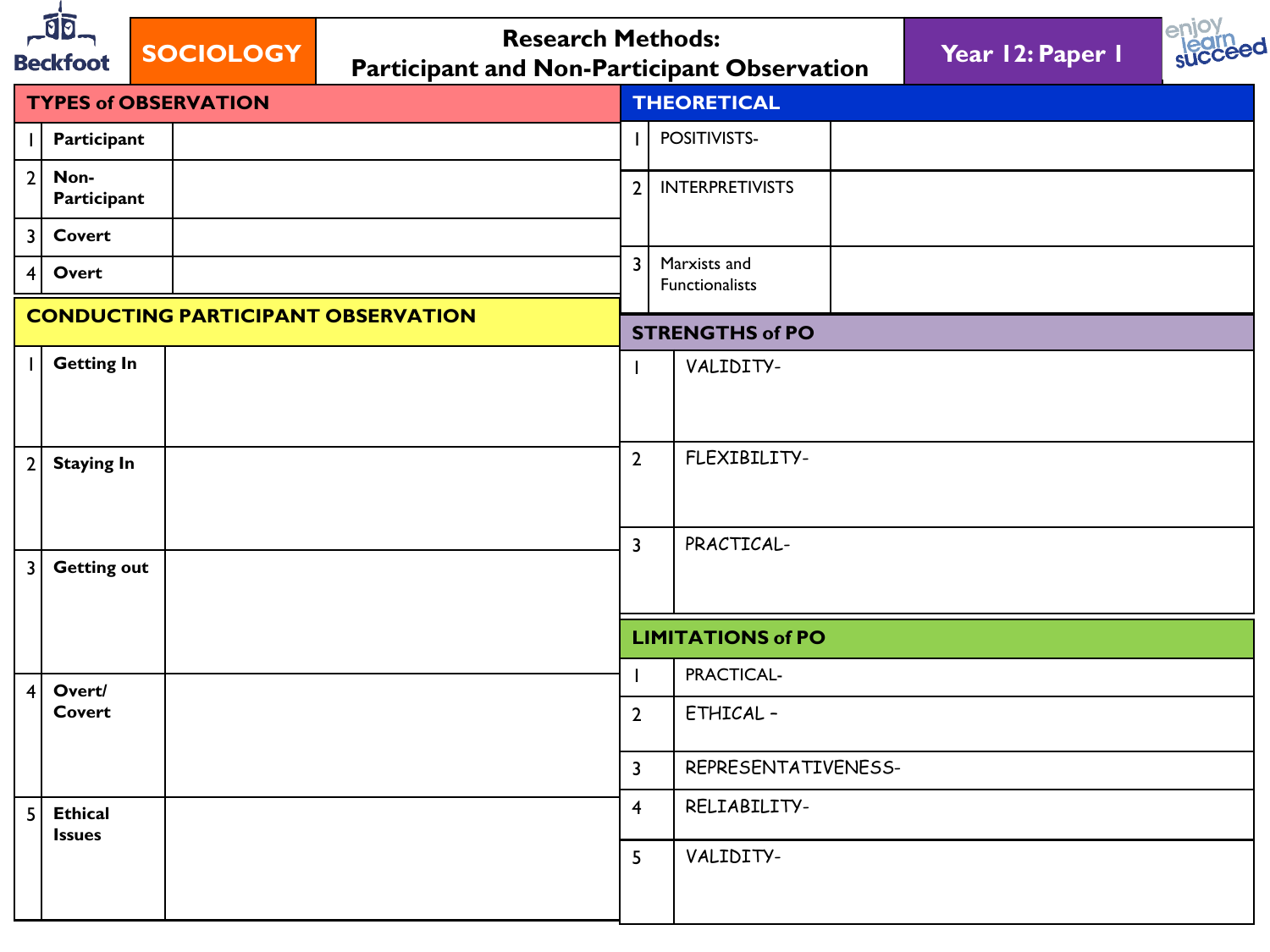| Jo<br><b>Research Methods:</b><br><b>SOCIOLOGY</b><br><b>Beckfoot</b><br><b>Participant and Non-Participant Observation</b> |                                 |                                           |                         |                                | Year 12: Paper 1 | enioy<br>succeed |
|-----------------------------------------------------------------------------------------------------------------------------|---------------------------------|-------------------------------------------|-------------------------|--------------------------------|------------------|------------------|
|                                                                                                                             |                                 | <b>TYPES of OBSERVATION</b>               |                         | <b>THEORETICAL</b>             |                  |                  |
|                                                                                                                             | Participant                     |                                           |                         | POSITIVISTS-                   |                  |                  |
| 2                                                                                                                           | Non-<br>Participant             |                                           | $\overline{2}$          | <b>INTERPRETIVISTS</b>         |                  |                  |
| 3 <sup>1</sup>                                                                                                              | <b>Covert</b>                   |                                           |                         |                                |                  |                  |
| 4 <sup>1</sup>                                                                                                              | Overt                           |                                           | $\overline{3}$          | Marxists and<br>Functionalists |                  |                  |
|                                                                                                                             |                                 | <b>CONDUCTING PARTICIPANT OBSERVATION</b> |                         | <b>STRENGTHS of PO</b>         |                  |                  |
|                                                                                                                             | <b>Getting In</b>               |                                           |                         | VALIDITY-                      |                  |                  |
| 2                                                                                                                           | <b>Staying In</b>               |                                           | $\overline{2}$          | FLEXIBILITY-                   |                  |                  |
| 3                                                                                                                           | <b>Getting out</b>              |                                           | $\overline{\mathbf{3}}$ | PRACTICAL-                     |                  |                  |
|                                                                                                                             |                                 |                                           |                         | <b>LIMITATIONS of PO</b>       |                  |                  |
| 4                                                                                                                           | Overt/                          |                                           |                         | PRACTICAL-                     |                  |                  |
|                                                                                                                             | Covert                          |                                           | $\overline{2}$          | ETHICAL-                       |                  |                  |
|                                                                                                                             |                                 | $\mathbf{3}$                              | REPRESENTATIVENESS-     |                                |                  |                  |
| 5 <sup>1</sup>                                                                                                              | <b>Ethical</b><br><b>Issues</b> |                                           | $\overline{\mathbf{4}}$ | RELIABILITY-                   |                  |                  |
|                                                                                                                             |                                 |                                           | 5                       | VALIDITY-                      |                  |                  |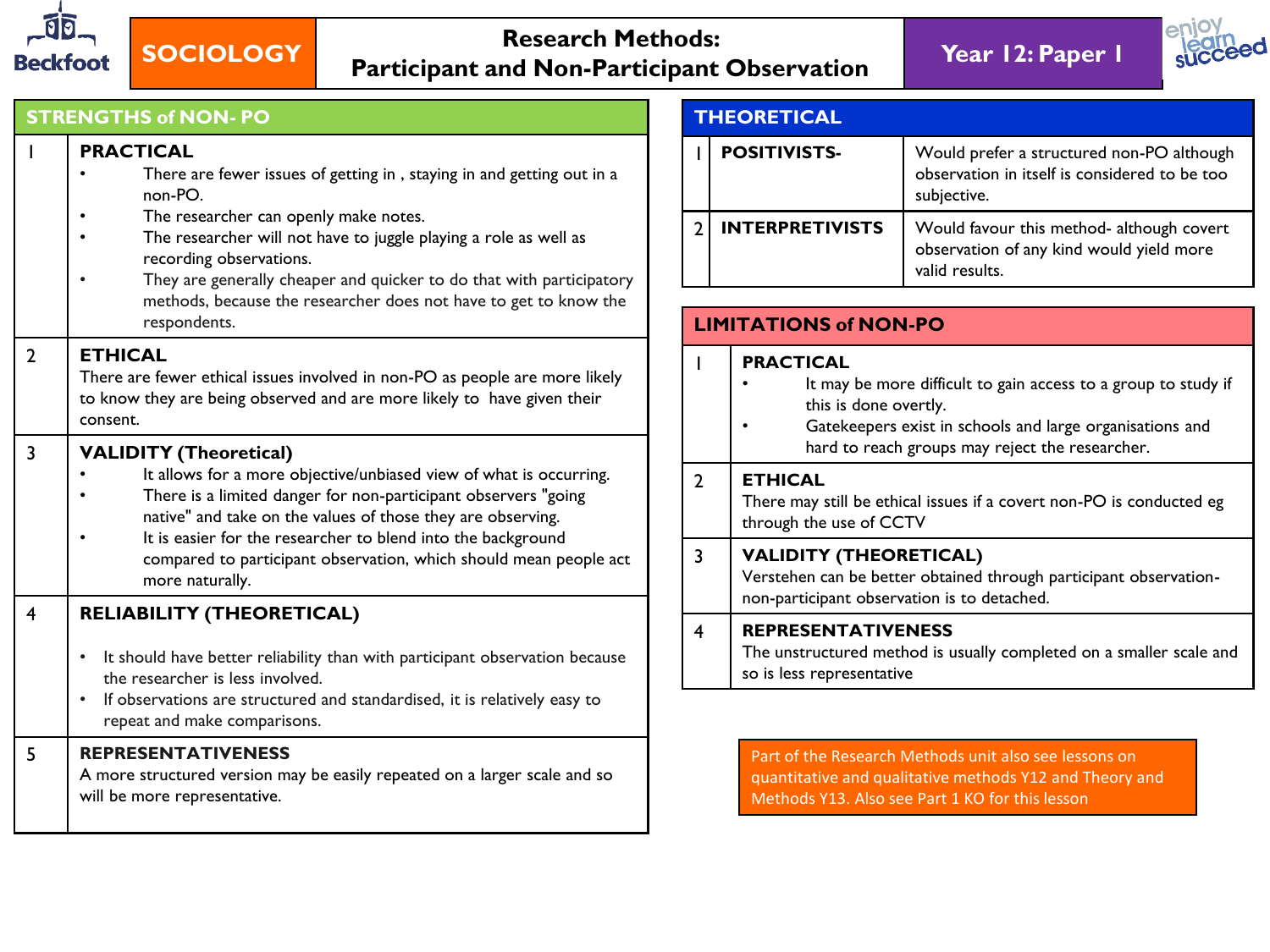



### **STRENGTHS of NON- PO**

|                | <b>PRACTICAL</b><br>There are fewer issues of getting in, staying in and getting out in a<br>non-PO.<br>The researcher can openly make notes.<br>The researcher will not have to juggle playing a role as well as<br>recording observations.<br>They are generally cheaper and quicker to do that with participatory<br>methods, because the researcher does not have to get to know the<br>respondents. |  |  |  |  |
|----------------|----------------------------------------------------------------------------------------------------------------------------------------------------------------------------------------------------------------------------------------------------------------------------------------------------------------------------------------------------------------------------------------------------------|--|--|--|--|
| $\overline{2}$ | <b>ETHICAL</b><br>There are fewer ethical issues involved in non-PO as people are more likely<br>to know they are being observed and are more likely to have given their<br>consent.                                                                                                                                                                                                                     |  |  |  |  |
| $\overline{3}$ | <b>VALIDITY (Theoretical)</b><br>It allows for a more objective/unbiased view of what is occurring.<br>There is a limited danger for non-participant observers "going<br>native" and take on the values of those they are observing.<br>It is easier for the researcher to blend into the background<br>compared to participant observation, which should mean people act<br>more naturally.             |  |  |  |  |
| $\overline{4}$ | <b>RELIABILITY (THEORETICAL)</b><br>It should have better reliability than with participant observation because<br>$\bullet$<br>the researcher is less involved.<br>If observations are structured and standardised, it is relatively easy to<br>repeat and make comparisons.                                                                                                                            |  |  |  |  |
| 5              | <b>REPRESENTATIVENESS</b><br>A more structured version may be easily repeated on a larger scale and so<br>will be more representative.                                                                                                                                                                                                                                                                   |  |  |  |  |

### **THEORETICAL** 1 **POSITIVISTS-** Would prefer a structured non-PO although observation in itself is considered to be too subjective. 2 **INTERPRETIVISTS** Would favour this method- although covert observation of any kind would yield more valid results.

|   | <b>LIMITATIONS of NON-PO</b>                                                                                                                      |  |  |  |  |  |  |
|---|---------------------------------------------------------------------------------------------------------------------------------------------------|--|--|--|--|--|--|
|   | <b>PRACTICAL</b>                                                                                                                                  |  |  |  |  |  |  |
|   | It may be more difficult to gain access to a group to study if<br>this is done overtly.                                                           |  |  |  |  |  |  |
|   | Gatekeepers exist in schools and large organisations and<br>hard to reach groups may reject the researcher.                                       |  |  |  |  |  |  |
| 2 | <b>ETHICAL</b><br>There may still be ethical issues if a covert non-PO is conducted eg<br>through the use of CCTV                                 |  |  |  |  |  |  |
|   | <b>VALIDITY (THEORETICAL)</b><br>Verstehen can be better obtained through participant observation-<br>non-participant observation is to detached. |  |  |  |  |  |  |
|   | <b>REPRESENTATIVENESS</b><br>The unstructured method is usually completed on a smaller scale and<br>so is less representative                     |  |  |  |  |  |  |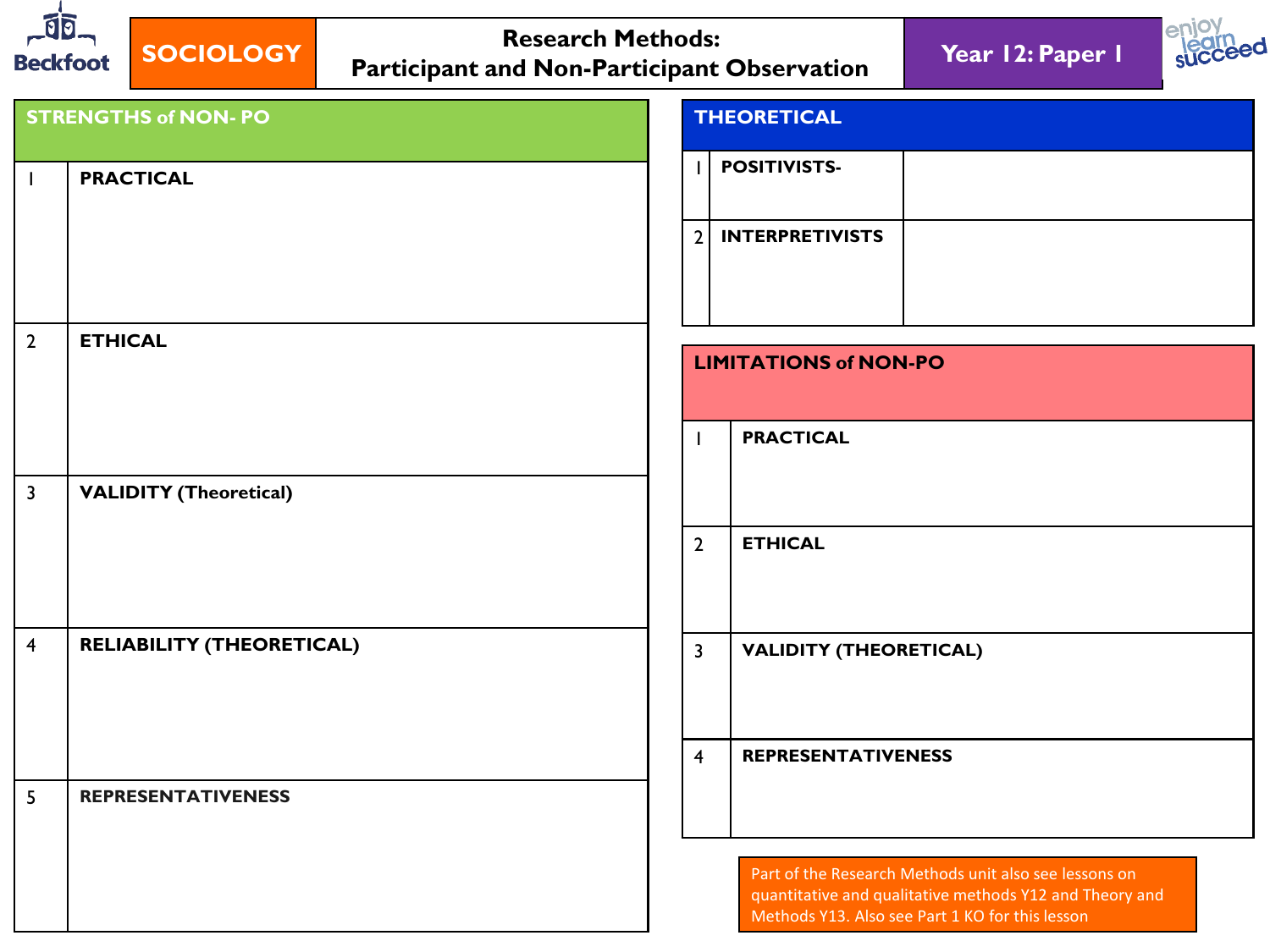| $-00$<br><b>Beckfoot</b> | <b>Research Methods:</b><br><b>SOCIOLOGY</b><br><b>Participant and Non-Participant Observation</b> | Year 12: Paper 1                                         |  |  |  |  |
|--------------------------|----------------------------------------------------------------------------------------------------|----------------------------------------------------------|--|--|--|--|
|                          | <b>STRENGTHS of NON- PO</b>                                                                        | <b>THEORETICAL</b>                                       |  |  |  |  |
| $\mathbf{I}$             | <b>PRACTICAL</b>                                                                                   | <b>POSITIVISTS-</b>                                      |  |  |  |  |
|                          |                                                                                                    | <b>INTERPRETIVISTS</b><br>$\overline{2}$                 |  |  |  |  |
| $\overline{2}$           | <b>ETHICAL</b>                                                                                     | <b>LIMITATIONS of NON-PO</b>                             |  |  |  |  |
|                          |                                                                                                    | <b>PRACTICAL</b>                                         |  |  |  |  |
| $\overline{\mathbf{3}}$  | <b>VALIDITY (Theoretical)</b>                                                                      |                                                          |  |  |  |  |
|                          |                                                                                                    | <b>ETHICAL</b><br>$\overline{2}$                         |  |  |  |  |
| $\overline{4}$           | <b>RELIABILITY (THEORETICAL)</b>                                                                   | $\overline{\mathbf{3}}$<br><b>VALIDITY (THEORETICAL)</b> |  |  |  |  |
|                          |                                                                                                    | $\overline{4}$<br><b>REPRESENTATIVENESS</b>              |  |  |  |  |
| 5                        | <b>REPRESENTATIVENESS</b>                                                                          | Part of the Research Methods unit also see lessons on    |  |  |  |  |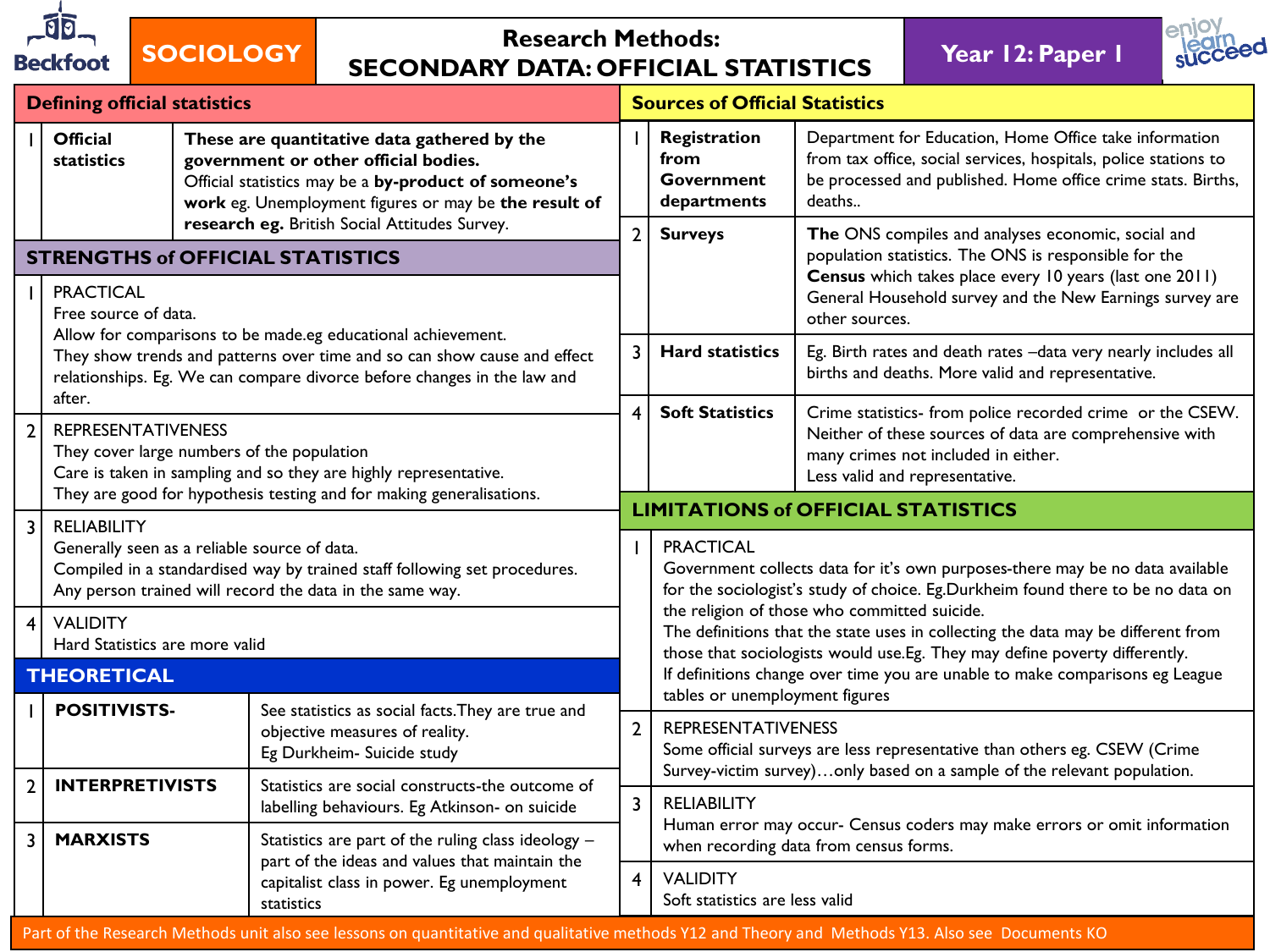

## **SOCIOLOGY Research Methods: SECONDARY DATA: OFFICIAL STATISTICS Year 12: Paper 1**



|                         | <b>Defining official statistics</b>                                                                                                                                                                                 |                                                                      |                                                                                                                                                                                                      | <b>Sources of Official Statistics</b>                                                                              |                                                                                                                                                                                                                                                                                                |                                                                                                                                                                                                     |  |  |
|-------------------------|---------------------------------------------------------------------------------------------------------------------------------------------------------------------------------------------------------------------|----------------------------------------------------------------------|------------------------------------------------------------------------------------------------------------------------------------------------------------------------------------------------------|--------------------------------------------------------------------------------------------------------------------|------------------------------------------------------------------------------------------------------------------------------------------------------------------------------------------------------------------------------------------------------------------------------------------------|-----------------------------------------------------------------------------------------------------------------------------------------------------------------------------------------------------|--|--|
|                         | <b>Official</b><br>statistics                                                                                                                                                                                       |                                                                      | These are quantitative data gathered by the<br>government or other official bodies.<br>Official statistics may be a by-product of someone's<br>work eg. Unemployment figures or may be the result of |                                                                                                                    | Registration<br>from<br><b>Government</b><br>departments                                                                                                                                                                                                                                       | Department for Education, Home Office take information<br>from tax office, social services, hospitals, police stations to<br>be processed and published. Home office crime stats. Births,<br>deaths |  |  |
|                         | research eg. British Social Attitudes Survey.<br><b>STRENGTHS of OFFICIAL STATISTICS</b>                                                                                                                            |                                                                      |                                                                                                                                                                                                      | $\overline{2}$                                                                                                     | <b>Surveys</b>                                                                                                                                                                                                                                                                                 | The ONS compiles and analyses economic, social and<br>population statistics. The ONS is responsible for the                                                                                         |  |  |
|                         | <b>PRACTICAL</b>                                                                                                                                                                                                    | Free source of data.                                                 |                                                                                                                                                                                                      |                                                                                                                    |                                                                                                                                                                                                                                                                                                | Census which takes place every 10 years (last one 2011)<br>General Household survey and the New Earnings survey are<br>other sources.                                                               |  |  |
|                         | Allow for comparisons to be made.eg educational achievement.<br>They show trends and patterns over time and so can show cause and effect<br>relationships. Eg. We can compare divorce before changes in the law and |                                                                      | 3                                                                                                                                                                                                    | <b>Hard statistics</b>                                                                                             | Eg. Birth rates and death rates -data very nearly includes all<br>births and deaths. More valid and representative.                                                                                                                                                                            |                                                                                                                                                                                                     |  |  |
| $\overline{2}$          | after.<br><b>REPRESENTATIVENESS</b><br>They cover large numbers of the population<br>Care is taken in sampling and so they are highly representative.                                                               |                                                                      |                                                                                                                                                                                                      | $\overline{\mathbf{4}}$                                                                                            | <b>Soft Statistics</b>                                                                                                                                                                                                                                                                         | Crime statistics- from police recorded crime or the CSEW.<br>Neither of these sources of data are comprehensive with<br>many crimes not included in either.<br>Less valid and representative.       |  |  |
| $\overline{\mathbf{3}}$ | <b>RELIABILITY</b>                                                                                                                                                                                                  | They are good for hypothesis testing and for making generalisations. |                                                                                                                                                                                                      |                                                                                                                    | <b>LIMITATIONS of OFFICIAL STATISTICS</b>                                                                                                                                                                                                                                                      |                                                                                                                                                                                                     |  |  |
|                         | Generally seen as a reliable source of data.<br>Compiled in a standardised way by trained staff following set procedures.<br>Any person trained will record the data in the same way.                               |                                                                      |                                                                                                                                                                                                      |                                                                                                                    | <b>PRACTICAL</b><br>Government collects data for it's own purposes-there may be no data available<br>for the sociologist's study of choice. Eg.Durkheim found there to be no data on                                                                                                           |                                                                                                                                                                                                     |  |  |
| 4                       | <b>VALIDITY</b><br>Hard Statistics are more valid                                                                                                                                                                   |                                                                      |                                                                                                                                                                                                      |                                                                                                                    | the religion of those who committed suicide.<br>The definitions that the state uses in collecting the data may be different from<br>those that sociologists would use.Eg. They may define poverty differently.<br>If definitions change over time you are unable to make comparisons eg League |                                                                                                                                                                                                     |  |  |
|                         | <b>THEORETICAL</b>                                                                                                                                                                                                  |                                                                      |                                                                                                                                                                                                      |                                                                                                                    |                                                                                                                                                                                                                                                                                                |                                                                                                                                                                                                     |  |  |
|                         | <b>POSITIVISTS-</b>                                                                                                                                                                                                 |                                                                      | See statistics as social facts. They are true and<br>objective measures of reality.<br>Eg Durkheim- Suicide study                                                                                    | $\overline{2}$                                                                                                     | tables or unemployment figures<br><b>REPRESENTATIVENESS</b><br>Some official surveys are less representative than others eg. CSEW (Crime<br>Survey-victim survey)only based on a sample of the relevant population.<br>$\overline{3}$<br><b>RELIABILITY</b>                                    |                                                                                                                                                                                                     |  |  |
| $\overline{2}$          | <b>INTERPRETIVISTS</b>                                                                                                                                                                                              |                                                                      | Statistics are social constructs-the outcome of<br>labelling behaviours. Eg Atkinson- on suicide                                                                                                     |                                                                                                                    |                                                                                                                                                                                                                                                                                                |                                                                                                                                                                                                     |  |  |
| $\overline{3}$          | <b>MARXISTS</b>                                                                                                                                                                                                     |                                                                      | Statistics are part of the ruling class ideology -<br>part of the ideas and values that maintain the                                                                                                 | Human error may occur- Census coders may make errors or omit information<br>when recording data from census forms. |                                                                                                                                                                                                                                                                                                |                                                                                                                                                                                                     |  |  |
|                         | capitalist class in power. Eg unemployment<br>statistics                                                                                                                                                            |                                                                      | $\overline{\mathbf{4}}$                                                                                                                                                                              | <b>VALIDITY</b><br>Soft statistics are less valid                                                                  |                                                                                                                                                                                                                                                                                                |                                                                                                                                                                                                     |  |  |
|                         | Part of the Research Methods unit also see lessons on quantitative and qualitative methods Y12 and Theory and Methods Y13. Also see Documents KO                                                                    |                                                                      |                                                                                                                                                                                                      |                                                                                                                    |                                                                                                                                                                                                                                                                                                |                                                                                                                                                                                                     |  |  |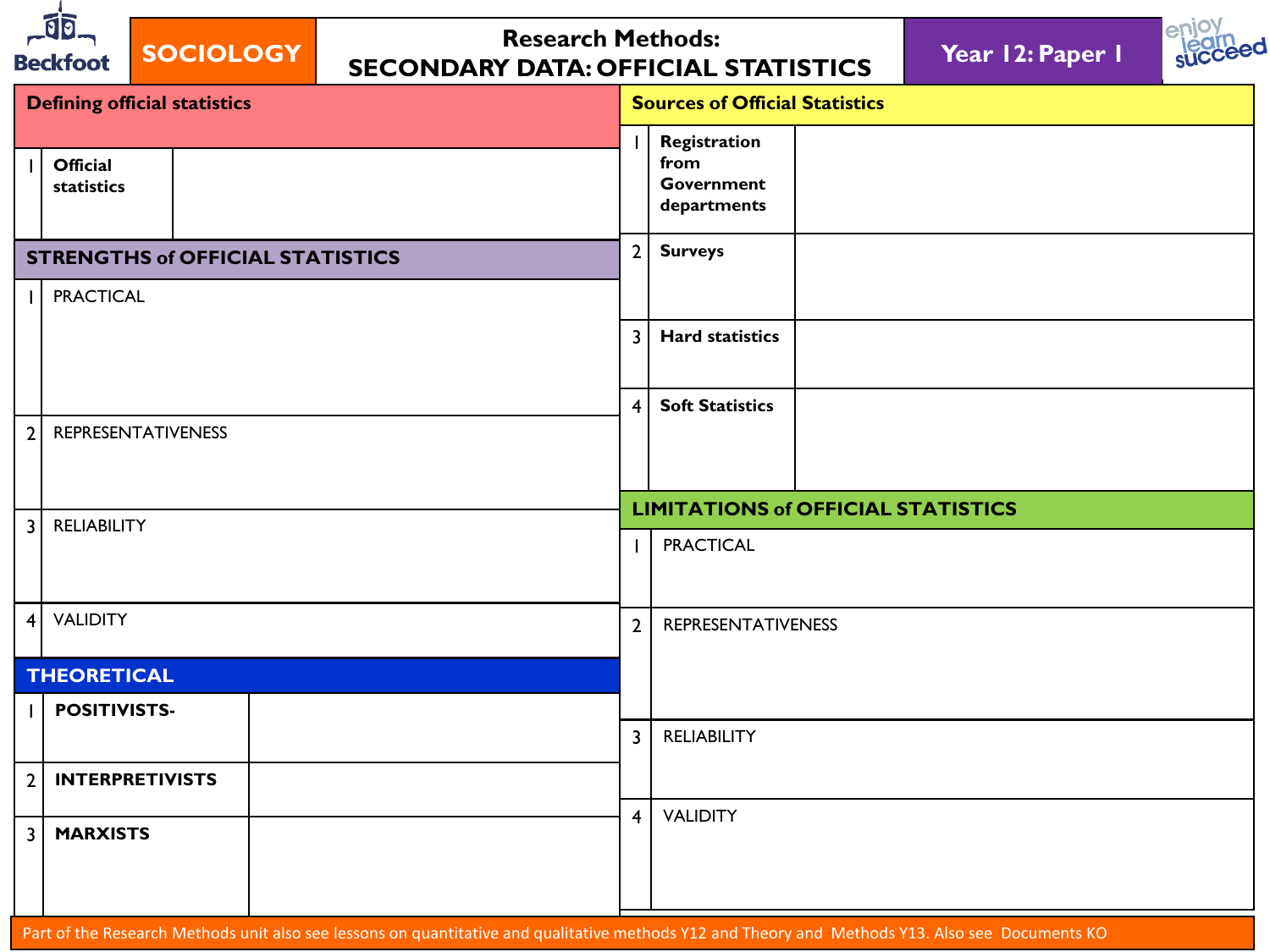| $\overline{\mathfrak{g}}$<br><b>Research Methods:</b><br><b>SOCIOLOGY</b><br><b>Beckfoot</b><br><b>SECONDARY DATA: OFFICIAL STATISTICS</b> |                                         |  |  |  |                                                          |                                       | Year 12: Paper 1 |  |  |
|--------------------------------------------------------------------------------------------------------------------------------------------|-----------------------------------------|--|--|--|----------------------------------------------------------|---------------------------------------|------------------|--|--|
|                                                                                                                                            | <b>Defining official statistics</b>     |  |  |  |                                                          | <b>Sources of Official Statistics</b> |                  |  |  |
|                                                                                                                                            | <b>Official</b><br>statistics           |  |  |  | Registration<br>from<br><b>Government</b><br>departments |                                       |                  |  |  |
|                                                                                                                                            | <b>STRENGTHS of OFFICIAL STATISTICS</b> |  |  |  | 2 <sup>1</sup>                                           | <b>Surveys</b>                        |                  |  |  |
|                                                                                                                                            | <b>PRACTICAL</b>                        |  |  |  |                                                          |                                       |                  |  |  |
|                                                                                                                                            |                                         |  |  |  | $\overline{3}$                                           | <b>Hard statistics</b>                |                  |  |  |
| $\overline{2}$                                                                                                                             | <b>REPRESENTATIVENESS</b>               |  |  |  | $\overline{4}$                                           | <b>Soft Statistics</b>                |                  |  |  |
|                                                                                                                                            |                                         |  |  |  |                                                          |                                       |                  |  |  |
|                                                                                                                                            |                                         |  |  |  | <b>LIMITATIONS of OFFICIAL STATISTICS</b>                |                                       |                  |  |  |
| $\overline{3}$                                                                                                                             | <b>RELIABILITY</b>                      |  |  |  |                                                          | <b>PRACTICAL</b>                      |                  |  |  |
| $\overline{4}$                                                                                                                             | <b>VALIDITY</b>                         |  |  |  | $\overline{2}$                                           | <b>REPRESENTATIVENESS</b>             |                  |  |  |
|                                                                                                                                            | <b>THEORETICAL</b>                      |  |  |  |                                                          |                                       |                  |  |  |
|                                                                                                                                            | POSITIVISTS-                            |  |  |  | $\overline{3}$                                           | <b>RELIABILITY</b>                    |                  |  |  |
| $\overline{2}$                                                                                                                             | <b>INTERPRETIVISTS</b>                  |  |  |  |                                                          |                                       |                  |  |  |
|                                                                                                                                            |                                         |  |  |  | 4                                                        | <b>VALIDITY</b>                       |                  |  |  |
|                                                                                                                                            | <b>MARXISTS</b>                         |  |  |  |                                                          |                                       |                  |  |  |
|                                                                                                                                            |                                         |  |  |  |                                                          |                                       |                  |  |  |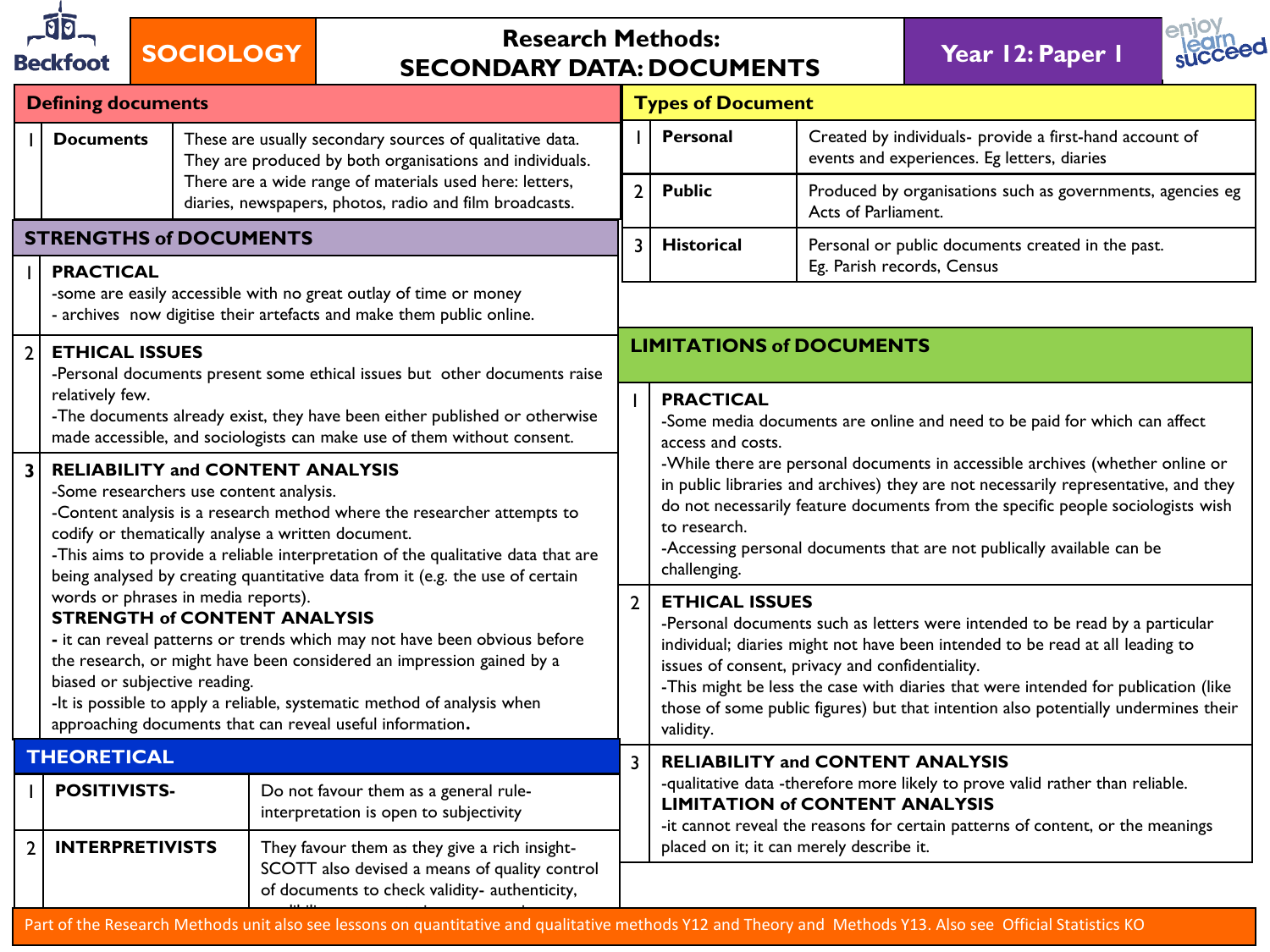

## **SOCIOLOGY Research Methods: SECONDARY DATA: DOCUMENTS Year 12: Paper 1**



|                         | <b>Defining documents</b>                                                                                                                                                                                                                                                                                                                                                                |                                                                                                                                                                                                                                                                                                                                                                                                           |                                                                                                                                                 | <b>Types of Document</b>                                                                                                                                                                                                                             |                                                                                                                                                                                                                                                                                                                                                                                                                                    |                                                                                                                                                                                                                                                                                                                                   |
|-------------------------|------------------------------------------------------------------------------------------------------------------------------------------------------------------------------------------------------------------------------------------------------------------------------------------------------------------------------------------------------------------------------------------|-----------------------------------------------------------------------------------------------------------------------------------------------------------------------------------------------------------------------------------------------------------------------------------------------------------------------------------------------------------------------------------------------------------|-------------------------------------------------------------------------------------------------------------------------------------------------|------------------------------------------------------------------------------------------------------------------------------------------------------------------------------------------------------------------------------------------------------|------------------------------------------------------------------------------------------------------------------------------------------------------------------------------------------------------------------------------------------------------------------------------------------------------------------------------------------------------------------------------------------------------------------------------------|-----------------------------------------------------------------------------------------------------------------------------------------------------------------------------------------------------------------------------------------------------------------------------------------------------------------------------------|
|                         | <b>Documents</b>                                                                                                                                                                                                                                                                                                                                                                         | These are usually secondary sources of qualitative data.<br>They are produced by both organisations and individuals.                                                                                                                                                                                                                                                                                      |                                                                                                                                                 |                                                                                                                                                                                                                                                      | <b>Personal</b>                                                                                                                                                                                                                                                                                                                                                                                                                    | Created by individuals- provide a first-hand account of<br>events and experiences. Eg letters, diaries                                                                                                                                                                                                                            |
|                         |                                                                                                                                                                                                                                                                                                                                                                                          |                                                                                                                                                                                                                                                                                                                                                                                                           | There are a wide range of materials used here: letters,<br>diaries, newspapers, photos, radio and film broadcasts.                              | $\overline{2}$                                                                                                                                                                                                                                       | <b>Public</b>                                                                                                                                                                                                                                                                                                                                                                                                                      | Produced by organisations such as governments, agencies eg<br>Acts of Parliament.                                                                                                                                                                                                                                                 |
|                         | <b>STRENGTHS of DOCUMENTS</b>                                                                                                                                                                                                                                                                                                                                                            |                                                                                                                                                                                                                                                                                                                                                                                                           |                                                                                                                                                 | $\overline{3}$                                                                                                                                                                                                                                       | <b>Historical</b>                                                                                                                                                                                                                                                                                                                                                                                                                  | Personal or public documents created in the past.                                                                                                                                                                                                                                                                                 |
|                         | <b>PRACTICAL</b>                                                                                                                                                                                                                                                                                                                                                                         |                                                                                                                                                                                                                                                                                                                                                                                                           | -some are easily accessible with no great outlay of time or money<br>- archives now digitise their artefacts and make them public online.       | Eg. Parish records, Census                                                                                                                                                                                                                           |                                                                                                                                                                                                                                                                                                                                                                                                                                    |                                                                                                                                                                                                                                                                                                                                   |
| $\overline{2}$          | <b>ETHICAL ISSUES</b>                                                                                                                                                                                                                                                                                                                                                                    |                                                                                                                                                                                                                                                                                                                                                                                                           |                                                                                                                                                 |                                                                                                                                                                                                                                                      | <b>LIMITATIONS of DOCUMENTS</b>                                                                                                                                                                                                                                                                                                                                                                                                    |                                                                                                                                                                                                                                                                                                                                   |
|                         | relatively few.                                                                                                                                                                                                                                                                                                                                                                          | -Personal documents present some ethical issues but other documents raise<br><b>PRACTICAL</b><br>-The documents already exist, they have been either published or otherwise<br>made accessible, and sociologists can make use of them without consent.<br>access and costs.                                                                                                                               |                                                                                                                                                 |                                                                                                                                                                                                                                                      | -Some media documents are online and need to be paid for which can affect                                                                                                                                                                                                                                                                                                                                                          |                                                                                                                                                                                                                                                                                                                                   |
| $\overline{\mathbf{3}}$ | <b>RELIABILITY and CONTENT ANALYSIS</b><br>-Some researchers use content analysis.<br>-Content analysis is a research method where the researcher attempts to<br>codify or thematically analyse a written document.<br>-This aims to provide a reliable interpretation of the qualitative data that are<br>being analysed by creating quantitative data from it (e.g. the use of certain |                                                                                                                                                                                                                                                                                                                                                                                                           |                                                                                                                                                 |                                                                                                                                                                                                                                                      | to research.<br>challenging.                                                                                                                                                                                                                                                                                                                                                                                                       | -While there are personal documents in accessible archives (whether online or<br>in public libraries and archives) they are not necessarily representative, and they<br>do not necessarily feature documents from the specific people sociologists wish<br>-Accessing personal documents that are not publically available can be |
|                         |                                                                                                                                                                                                                                                                                                                                                                                          | words or phrases in media reports).<br><b>STRENGTH of CONTENT ANALYSIS</b><br>- it can reveal patterns or trends which may not have been obvious before<br>the research, or might have been considered an impression gained by a<br>biased or subjective reading.<br>-It is possible to apply a reliable, systematic method of analysis when<br>approaching documents that can reveal useful information. |                                                                                                                                                 | $\overline{2}$                                                                                                                                                                                                                                       | <b>ETHICAL ISSUES</b><br>-Personal documents such as letters were intended to be read by a particular<br>individual; diaries might not have been intended to be read at all leading to<br>issues of consent, privacy and confidentiality.<br>-This might be less the case with diaries that were intended for publication (like<br>those of some public figures) but that intention also potentially undermines their<br>validity. |                                                                                                                                                                                                                                                                                                                                   |
|                         | <b>THEORETICAL</b>                                                                                                                                                                                                                                                                                                                                                                       |                                                                                                                                                                                                                                                                                                                                                                                                           |                                                                                                                                                 |                                                                                                                                                                                                                                                      |                                                                                                                                                                                                                                                                                                                                                                                                                                    | <b>RELIABILITY and CONTENT ANALYSIS</b>                                                                                                                                                                                                                                                                                           |
|                         | <b>POSITIVISTS-</b>                                                                                                                                                                                                                                                                                                                                                                      |                                                                                                                                                                                                                                                                                                                                                                                                           | Do not favour them as a general rule-<br>interpretation is open to subjectivity                                                                 | -qualitative data -therefore more likely to prove valid rather than reliable.<br><b>LIMITATION of CONTENT ANALYSIS</b><br>-it cannot reveal the reasons for certain patterns of content, or the meanings<br>placed on it; it can merely describe it. |                                                                                                                                                                                                                                                                                                                                                                                                                                    |                                                                                                                                                                                                                                                                                                                                   |
| $\mathbf{2}$            | <b>INTERPRETIVISTS</b>                                                                                                                                                                                                                                                                                                                                                                   |                                                                                                                                                                                                                                                                                                                                                                                                           | They favour them as they give a rich insight-<br>SCOTT also devised a means of quality control<br>of documents to check validity- authenticity, |                                                                                                                                                                                                                                                      |                                                                                                                                                                                                                                                                                                                                                                                                                                    |                                                                                                                                                                                                                                                                                                                                   |